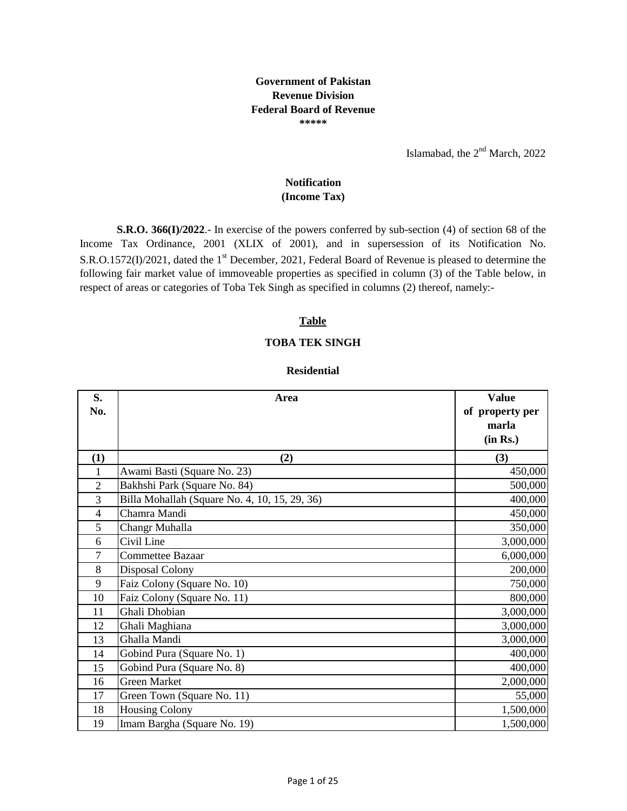## **Government of Pakistan Revenue Division Federal Board of Revenue \*\*\*\*\***

Islamabad, the  $2<sup>nd</sup>$  March, 2022

# **Notification**

**(Income Tax)**

**S.R.O. 366(I)/2022**.- In exercise of the powers conferred by sub-section (4) of section 68 of the Income Tax Ordinance, 2001 (XLIX of 2001), and in supersession of its Notification No. S.R.O.1572(I)/2021, dated the 1<sup>st</sup> December, 2021, Federal Board of Revenue is pleased to determine the following fair market value of immoveable properties as specified in column (3) of the Table below, in respect of areas or categories of Toba Tek Singh as specified in columns (2) thereof, namely:-

## **Table**

### **TOBA TEK SINGH**

#### **Residential**

| S.                       | Area                                          | <b>Value</b>    |
|--------------------------|-----------------------------------------------|-----------------|
| No.                      |                                               | of property per |
|                          |                                               | marla           |
|                          |                                               | (in Rs.)        |
| (1)                      | (2)                                           | (3)             |
| $\mathbf 1$              | Awami Basti (Square No. 23)                   | 450,000         |
| $\overline{2}$           | Bakhshi Park (Square No. 84)                  | 500,000         |
| 3                        | Billa Mohallah (Square No. 4, 10, 15, 29, 36) | 400,000         |
| $\overline{\mathcal{L}}$ | Chamra Mandi                                  | 450,000         |
| 5                        | Changr Muhalla                                | 350,000         |
| 6                        | Civil Line                                    | 3,000,000       |
| 7                        | Commettee Bazaar                              | 6,000,000       |
| 8                        | Disposal Colony                               | 200,000         |
| 9                        | Faiz Colony (Square No. 10)                   | 750,000         |
| 10                       | Faiz Colony (Square No. 11)                   | 800,000         |
| 11                       | Ghali Dhobian                                 | 3,000,000       |
| 12                       | Ghali Maghiana                                | 3,000,000       |
| 13                       | Ghalla Mandi                                  | 3,000,000       |
| 14                       | Gobind Pura (Square No. 1)                    | 400,000         |
| 15                       | Gobind Pura (Square No. 8)                    | 400,000         |
| 16                       | <b>Green Market</b>                           | 2,000,000       |
| 17                       | Green Town (Square No. 11)                    | 55,000          |
| 18                       | <b>Housing Colony</b>                         | 1,500,000       |
| 19                       | Imam Bargha (Square No. 19)                   | 1,500,000       |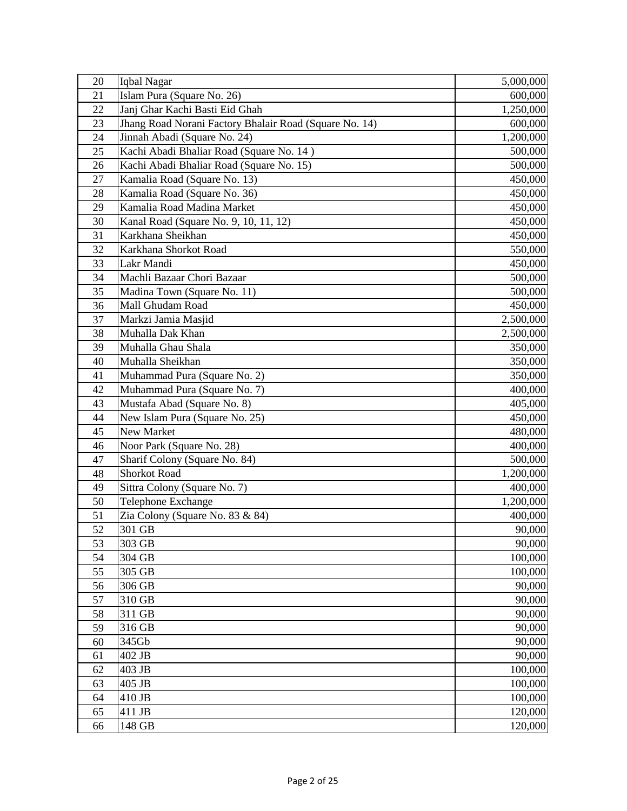| 20 | Iqbal Nagar                                            | 5,000,000 |
|----|--------------------------------------------------------|-----------|
| 21 | Islam Pura (Square No. 26)                             | 600,000   |
| 22 | Janj Ghar Kachi Basti Eid Ghah                         | 1,250,000 |
| 23 | Jhang Road Norani Factory Bhalair Road (Square No. 14) | 600,000   |
| 24 | Jinnah Abadi (Square No. 24)                           | 1,200,000 |
| 25 | Kachi Abadi Bhaliar Road (Square No. 14)               | 500,000   |
| 26 | Kachi Abadi Bhaliar Road (Square No. 15)               | 500,000   |
| 27 | Kamalia Road (Square No. 13)                           | 450,000   |
| 28 | Kamalia Road (Square No. 36)                           | 450,000   |
| 29 | Kamalia Road Madina Market                             | 450,000   |
| 30 | Kanal Road (Square No. 9, 10, 11, 12)                  | 450,000   |
| 31 | Karkhana Sheikhan                                      | 450,000   |
| 32 | Karkhana Shorkot Road                                  | 550,000   |
| 33 | Lakr Mandi                                             | 450,000   |
| 34 | Machli Bazaar Chori Bazaar                             | 500,000   |
| 35 | Madina Town (Square No. 11)                            | 500,000   |
| 36 | Mall Ghudam Road                                       | 450,000   |
| 37 | Markzi Jamia Masjid                                    | 2,500,000 |
| 38 | Muhalla Dak Khan                                       | 2,500,000 |
| 39 | Muhalla Ghau Shala                                     | 350,000   |
| 40 | Muhalla Sheikhan                                       | 350,000   |
| 41 | Muhammad Pura (Square No. 2)                           | 350,000   |
| 42 | Muhammad Pura (Square No. 7)                           | 400,000   |
| 43 | Mustafa Abad (Square No. 8)                            | 405,000   |
| 44 | New Islam Pura (Square No. 25)                         | 450,000   |
| 45 | New Market                                             | 480,000   |
| 46 | Noor Park (Square No. 28)                              | 400,000   |
| 47 | Sharif Colony (Square No. 84)                          | 500,000   |
| 48 | <b>Shorkot Road</b>                                    | 1,200,000 |
| 49 | Sittra Colony (Square No. 7)                           | 400,000   |
| 50 | Telephone Exchange                                     | 1,200,000 |
| 51 | Zia Colony (Square No. 83 & 84)                        | 400,000   |
| 52 | 301 GB                                                 | 90,000    |
| 53 | 303 GB                                                 | 90,000    |
| 54 | 304 GB                                                 | 100,000   |
| 55 | 305 GB                                                 | 100,000   |
| 56 | 306 GB                                                 | 90,000    |
| 57 | 310 GB                                                 | 90,000    |
| 58 | 311 GB                                                 | 90,000    |
| 59 | 316 GB                                                 | 90,000    |
| 60 | 345Gb                                                  | 90,000    |
| 61 | 402 JB                                                 | 90,000    |
| 62 | 403 JB                                                 | 100,000   |
| 63 | 405 JB                                                 | 100,000   |
| 64 | 410 JB                                                 | 100,000   |
| 65 | 411 JB                                                 | 120,000   |
| 66 | 148 GB                                                 | 120,000   |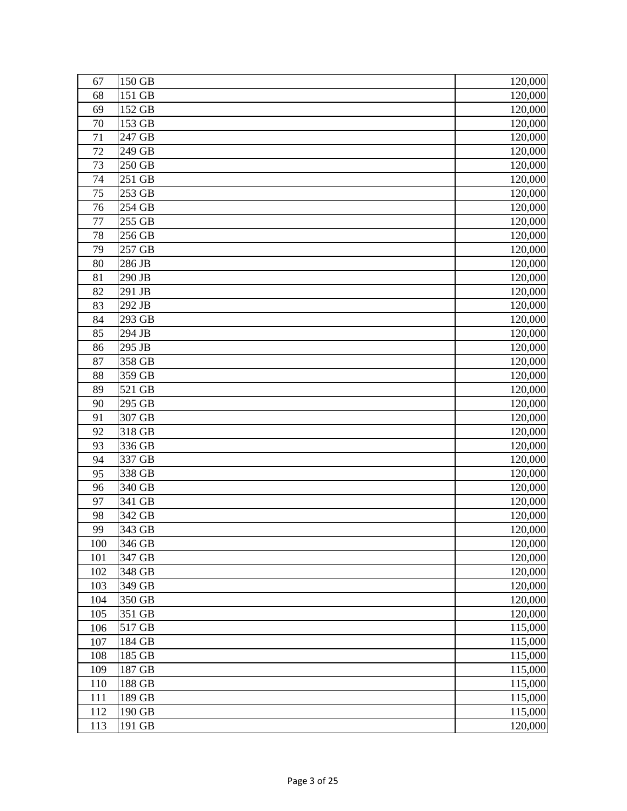| 67         | 150 GB              | 120,000             |
|------------|---------------------|---------------------|
| 68         | 151 GB              | 120,000             |
| 69         | 152 GB              | 120,000             |
| 70         | 153 GB              | 120,000             |
| 71         | 247 GB              | 120,000             |
| 72         | 249 GB              | 120,000             |
| 73         | 250 GB              | 120,000             |
| 74         | 251 GB              | 120,000             |
| 75         | 253 GB              | 120,000             |
| 76         | 254 GB              | 120,000             |
| 77         | 255 GB              | 120,000             |
| 78         | 256 GB              | 120,000             |
| 79         | 257 GB              | 120,000             |
| 80         | 286 JB              | 120,000             |
| 81         | $\overline{2}90$ JB | 120,000             |
| 82         | 291 JB              | 120,000             |
| 83         | 292 JB              | 120,000             |
| 84         | 293 GB              | 120,000             |
| 85         | 294 JB              | 120,000             |
| 86         | 295 JB              | 120,000             |
| 87         | 358 GB              | 120,000             |
| 88         | 359 GB              | 120,000             |
| 89         | 521 GB              | 120,000             |
| 90         | 295 GB              | 120,000             |
| 91         | 307 GB              | 120,000             |
| 92         | 318 GB              | 120,000             |
| 93         | 336 GB              | 120,000             |
| 94         | 337 GB              | 120,000             |
| 95         | 338 GB              | 120,000             |
| 96         | 340 GB              | 120,000             |
| 97         | 341 GB              | 120,000             |
| 98         | 342 GB              | 120,000             |
| 99         | 343 GB              | 120,000             |
| 100        | 346 GB              | 120,000             |
| 101        | 347 GB              | 120,000             |
| 102<br>103 | 348 GB              | 120,000<br>120,000  |
| 104        | 349 GB<br>350 GB    | 120,000             |
| 105        | 351 GB              | 120,000             |
| 106        | 517 GB              | 115,000             |
| 107        | 184 GB              | 115,000             |
| 108        | 185 GB              | $\frac{115,000}{ }$ |
| 109        | 187 GB              | 115,000             |
| 110        | 188 GB              | 115,000             |
| 111        | 189 GB              | 115,000             |
| 112        | 190 GB              | 115,000             |
| 113        | 191 GB              | 120,000             |
|            |                     |                     |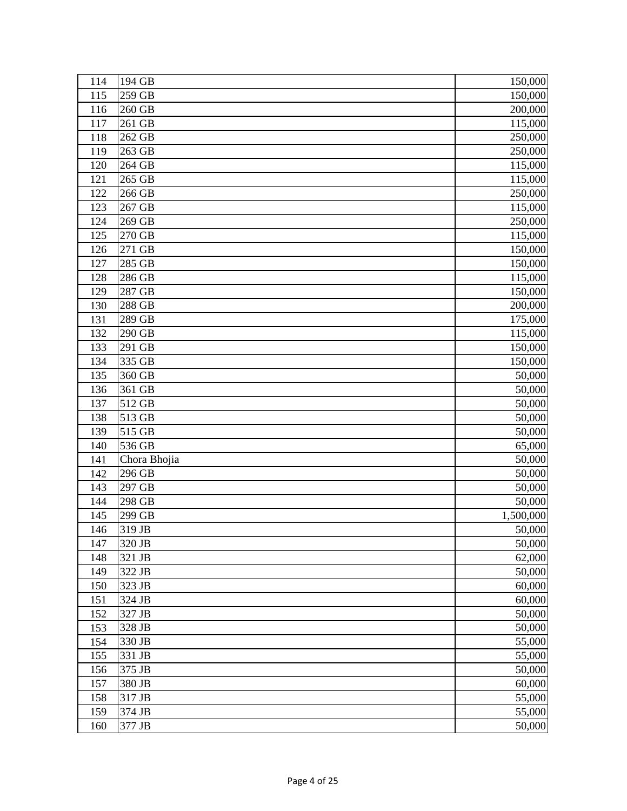| 114 | 194 GB       | 150,000   |
|-----|--------------|-----------|
| 115 | 259 GB       | 150,000   |
| 116 | 260 GB       | 200,000   |
| 117 | 261 GB       | 115,000   |
| 118 | 262 GB       | 250,000   |
| 119 | 263 GB       | 250,000   |
| 120 | 264 GB       | 115,000   |
| 121 | 265 GB       | 115,000   |
| 122 | 266 GB       | 250,000   |
| 123 | 267 GB       | 115,000   |
| 124 | 269 GB       | 250,000   |
| 125 | 270 GB       | 115,000   |
| 126 | 271 GB       | 150,000   |
| 127 | 285 GB       | 150,000   |
| 128 | 286 GB       | 115,000   |
| 129 | 287 GB       | 150,000   |
| 130 | 288 GB       | 200,000   |
| 131 | 289 GB       | 175,000   |
| 132 | 290 GB       | 115,000   |
| 133 | 291 GB       | 150,000   |
| 134 | 335 GB       | 150,000   |
| 135 | 360 GB       | 50,000    |
| 136 | 361 GB       | 50,000    |
| 137 | 512 GB       | 50,000    |
| 138 | 513 GB       | 50,000    |
| 139 | 515 GB       | 50,000    |
| 140 | 536 GB       | 65,000    |
| 141 | Chora Bhojia | 50,000    |
| 142 | 296 GB       | 50,000    |
| 143 | 297 GB       | 50,000    |
| 144 | 298 GB       | 50,000    |
| 145 | 299 GB       | 1,500,000 |
| 146 | 319 JB       | 50,000    |
| 147 | 320 JB       | 50,000    |
| 148 | 321 JB       | 62,000    |
| 149 | 322 JB       | 50,000    |
| 150 | 323 JB       | 60,000    |
| 151 | 324 JB       | 60,000    |
| 152 | 327 JB       | 50,000    |
| 153 | 328 JB       | 50,000    |
| 154 | 330 JB       | 55,000    |
| 155 | 331 JB       | 55,000    |
| 156 | 375 JB       | 50,000    |
| 157 | 380 JB       | 60,000    |
| 158 | 317 JB       | 55,000    |
| 159 | 374 JB       | 55,000    |
| 160 | 377 JB       | 50,000    |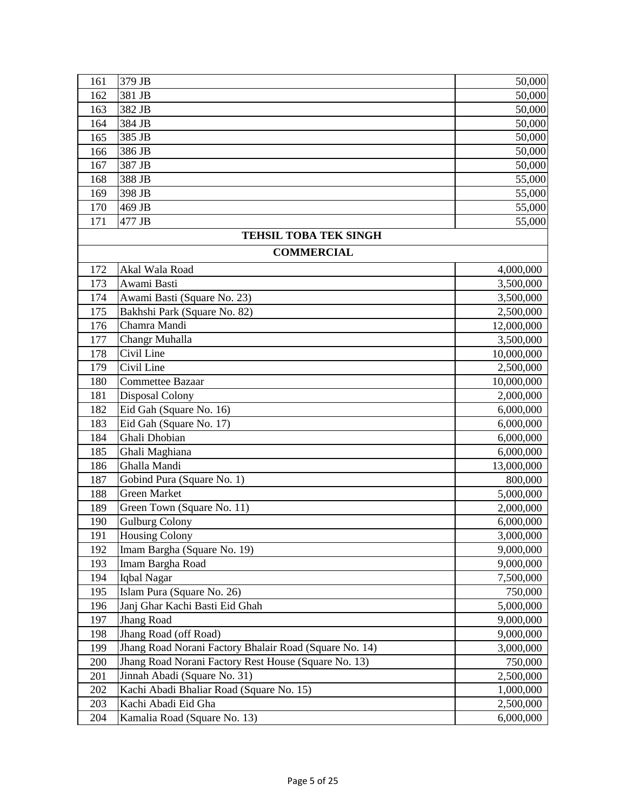| 161 | 379 JB                                                 | 50,000     |
|-----|--------------------------------------------------------|------------|
| 162 | 381 JB                                                 | 50,000     |
| 163 | 382 JB                                                 | 50,000     |
| 164 | 384 JB                                                 | 50,000     |
| 165 | 385 JB                                                 | 50,000     |
| 166 | 386 JB                                                 | 50,000     |
| 167 | 387 JB                                                 | 50,000     |
| 168 | 388 JB                                                 | 55,000     |
| 169 | 398 JB                                                 | 55,000     |
| 170 | 469 JB                                                 | 55,000     |
| 171 | 477 JB                                                 | 55,000     |
|     | <b>TEHSIL TOBA TEK SINGH</b>                           |            |
|     | <b>COMMERCIAL</b>                                      |            |
| 172 | Akal Wala Road                                         | 4,000,000  |
| 173 | Awami Basti                                            | 3,500,000  |
| 174 | Awami Basti (Square No. 23)                            | 3,500,000  |
| 175 | Bakhshi Park (Square No. 82)                           | 2,500,000  |
| 176 | Chamra Mandi                                           | 12,000,000 |
| 177 | Changr Muhalla                                         | 3,500,000  |
| 178 | Civil Line                                             | 10,000,000 |
| 179 | Civil Line                                             | 2,500,000  |
| 180 | Commettee Bazaar                                       | 10,000,000 |
| 181 | Disposal Colony                                        | 2,000,000  |
| 182 | Eid Gah (Square No. 16)                                | 6,000,000  |
| 183 | Eid Gah (Square No. 17)                                | 6,000,000  |
| 184 | Ghali Dhobian                                          | 6,000,000  |
| 185 | Ghali Maghiana                                         | 6,000,000  |
| 186 | Ghalla Mandi                                           | 13,000,000 |
| 187 | Gobind Pura (Square No. 1)                             | 800,000    |
| 188 | <b>Green Market</b>                                    | 5,000,000  |
| 189 | Green Town (Square No. 11)                             | 2,000,000  |
| 190 | <b>Gulburg Colony</b>                                  | 6,000,000  |
| 191 | <b>Housing Colony</b>                                  | 3,000,000  |
| 192 | Imam Bargha (Square No. 19)                            | 9,000,000  |
| 193 | Imam Bargha Road                                       | 9,000,000  |
| 194 | Iqbal Nagar                                            | 7,500,000  |
| 195 | Islam Pura (Square No. 26)                             | 750,000    |
| 196 | Janj Ghar Kachi Basti Eid Ghah                         | 5,000,000  |
| 197 | Jhang Road                                             | 9,000,000  |
| 198 | Jhang Road (off Road)                                  | 9,000,000  |
| 199 | Jhang Road Norani Factory Bhalair Road (Square No. 14) | 3,000,000  |
| 200 | Jhang Road Norani Factory Rest House (Square No. 13)   | 750,000    |
| 201 | Jinnah Abadi (Square No. 31)                           | 2,500,000  |
| 202 | Kachi Abadi Bhaliar Road (Square No. 15)               | 1,000,000  |
| 203 | Kachi Abadi Eid Gha                                    | 2,500,000  |
| 204 | Kamalia Road (Square No. 13)                           | 6,000,000  |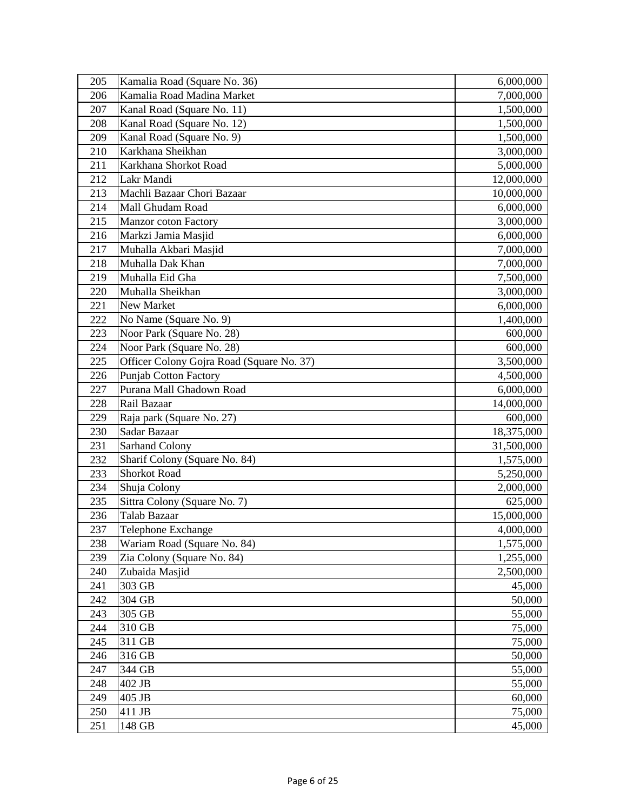| 205 | Kamalia Road (Square No. 36)              | 6,000,000  |
|-----|-------------------------------------------|------------|
| 206 | Kamalia Road Madina Market                | 7,000,000  |
| 207 | Kanal Road (Square No. 11)                | 1,500,000  |
| 208 | Kanal Road (Square No. 12)                | 1,500,000  |
| 209 | Kanal Road (Square No. 9)                 | 1,500,000  |
| 210 | Karkhana Sheikhan                         | 3,000,000  |
| 211 | Karkhana Shorkot Road                     | 5,000,000  |
| 212 | Lakr Mandi                                | 12,000,000 |
| 213 | Machli Bazaar Chori Bazaar                | 10,000,000 |
| 214 | Mall Ghudam Road                          | 6,000,000  |
| 215 | Manzor coton Factory                      | 3,000,000  |
| 216 | Markzi Jamia Masjid                       | 6,000,000  |
| 217 | Muhalla Akbari Masjid                     | 7,000,000  |
| 218 | Muhalla Dak Khan                          | 7,000,000  |
| 219 | Muhalla Eid Gha                           | 7,500,000  |
| 220 | Muhalla Sheikhan                          | 3,000,000  |
| 221 | New Market                                | 6,000,000  |
| 222 | No Name (Square No. 9)                    | 1,400,000  |
| 223 | Noor Park (Square No. 28)                 | 600,000    |
| 224 | Noor Park (Square No. 28)                 | 600,000    |
| 225 | Officer Colony Gojra Road (Square No. 37) | 3,500,000  |
| 226 | Punjab Cotton Factory                     | 4,500,000  |
| 227 | Purana Mall Ghadown Road                  | 6,000,000  |
| 228 | Rail Bazaar                               | 14,000,000 |
| 229 | Raja park (Square No. 27)                 | 600,000    |
| 230 | Sadar Bazaar                              | 18,375,000 |
| 231 | <b>Sarhand Colony</b>                     | 31,500,000 |
| 232 | Sharif Colony (Square No. 84)             | 1,575,000  |
| 233 | <b>Shorkot Road</b>                       | 5,250,000  |
| 234 | Shuja Colony                              | 2,000,000  |
| 235 | Sittra Colony (Square No. 7)              | 625,000    |
| 236 | Talab Bazaar                              | 15,000,000 |
| 237 | Telephone Exchange                        | 4,000,000  |
| 238 | Wariam Road (Square No. 84)               | 1,575,000  |
| 239 | Zia Colony (Square No. 84)                | 1,255,000  |
| 240 | Zubaida Masjid                            | 2,500,000  |
| 241 | 303 GB                                    | 45,000     |
| 242 | 304 GB                                    | 50,000     |
| 243 | 305 GB                                    | 55,000     |
| 244 | 310 GB                                    | 75,000     |
| 245 | 311 GB                                    | 75,000     |
| 246 | 316 GB                                    | 50,000     |
| 247 | 344 GB                                    | 55,000     |
| 248 | 402 JB                                    | 55,000     |
| 249 | 405 JB                                    | 60,000     |
| 250 | 411 JB                                    | 75,000     |
| 251 | 148 GB                                    | 45,000     |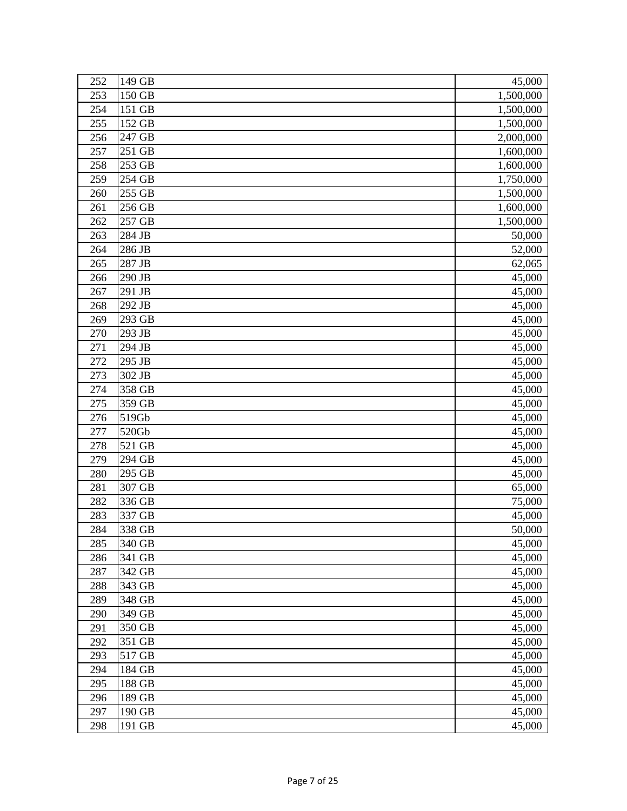| 252 | 149 GB | 45,000    |
|-----|--------|-----------|
| 253 | 150 GB | 1,500,000 |
| 254 | 151 GB | 1,500,000 |
| 255 | 152 GB | 1,500,000 |
| 256 | 247 GB | 2,000,000 |
| 257 | 251 GB | 1,600,000 |
| 258 | 253 GB | 1,600,000 |
| 259 | 254 GB | 1,750,000 |
| 260 | 255 GB | 1,500,000 |
| 261 | 256 GB | 1,600,000 |
| 262 | 257 GB | 1,500,000 |
| 263 | 284 JB | 50,000    |
| 264 | 286 JB | 52,000    |
| 265 | 287 JB | 62,065    |
| 266 | 290 JB | 45,000    |
| 267 | 291 JB | 45,000    |
| 268 | 292 JB | 45,000    |
| 269 | 293 GB | 45,000    |
| 270 | 293 JB | 45,000    |
| 271 | 294 JB | 45,000    |
| 272 | 295 JB | 45,000    |
| 273 | 302 JB | 45,000    |
| 274 | 358 GB | 45,000    |
| 275 | 359 GB | 45,000    |
| 276 | 519Gb  | 45,000    |
| 277 | 520Gb  | 45,000    |
| 278 | 521 GB | 45,000    |
| 279 | 294 GB | 45,000    |
| 280 | 295 GB | 45,000    |
| 281 | 307 GB | 65,000    |
| 282 | 336 GB | 75,000    |
| 283 | 337 GB | 45,000    |
| 284 | 338 GB | 50,000    |
| 285 | 340 GB | 45,000    |
| 286 | 341 GB | 45,000    |
| 287 | 342 GB | 45,000    |
| 288 | 343 GB | 45,000    |
| 289 | 348 GB | 45,000    |
| 290 | 349 GB | 45,000    |
| 291 | 350 GB | 45,000    |
| 292 | 351 GB | 45,000    |
| 293 | 517 GB | 45,000    |
| 294 | 184 GB | 45,000    |
| 295 | 188 GB | 45,000    |
| 296 | 189 GB | 45,000    |
| 297 | 190 GB | 45,000    |
| 298 | 191 GB | 45,000    |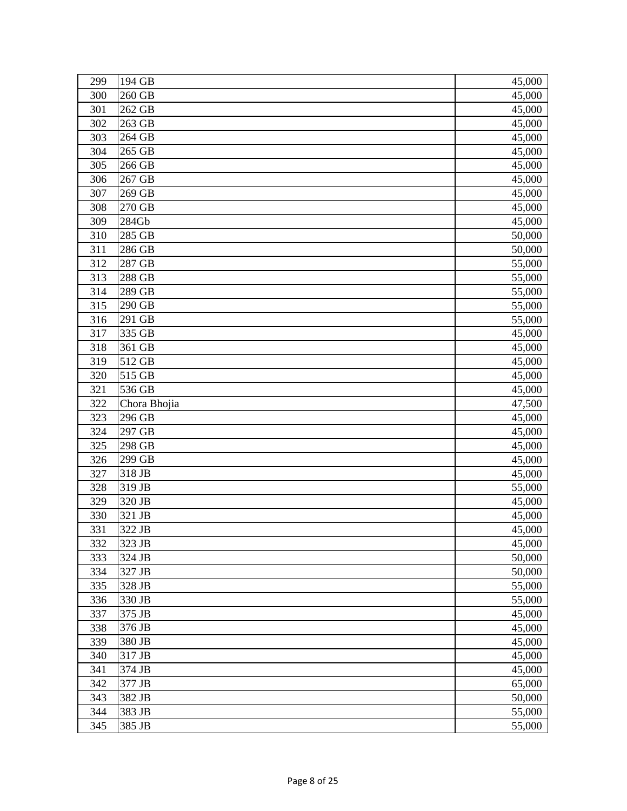| 300<br>260 GB<br>45,000<br>262 GB<br>301<br>45,000<br>302<br>263 GB<br>45,000<br>264 GB<br>303<br>45,000<br>304<br>265 GB<br>45,000<br>266 GB<br>305<br>45,000<br>267 GB<br>306<br>45,000<br>269 GB<br>307<br>45,000<br>308<br>270 GB<br>45,000<br>284Gb<br>309<br>45,000<br>310<br>285 GB<br>50,000<br>311<br>286 GB<br>50,000<br>312<br>287 GB<br>55,000<br>288 GB<br>313<br>55,000<br>314<br>289 GB<br>55,000<br>290 GB<br>315<br>55,000<br>316<br>291 GB<br>55,000<br>335 GB<br>317<br>45,000<br>318<br>361 GB<br>45,000<br>319<br>512 GB<br>45,000<br>515 GB<br>320<br>45,000<br>321<br>536 GB<br>45,000<br>322<br>Chora Bhojia<br>47,500<br>323<br>296 GB<br>45,000<br>324<br>297 GB<br>45,000<br>325<br>$\overline{2}98$ GB<br>45,000<br>326<br>299 GB<br>45,000<br>327<br>318 JB<br>45,000<br>328<br>319 JB<br>55,000<br>329<br>320 JB<br>45,000<br>330<br>321 JB<br>45,000<br>331<br>322 JB<br>45,000<br>323 JB<br>332<br>45,000<br>333<br>324 JB<br>50,000<br>334<br>50,000<br>327 JB<br>335<br>328 JB<br>55,000<br>336<br>330 JB<br>55,000<br>337<br>375 JB<br>45,000<br>338<br>376 JB<br>45,000<br>339<br>380 JB<br>45,000<br>340<br>317 JB<br>45,000<br>341<br>374 JB<br>45,000<br>377 JB<br>342<br>65,000<br>343<br>382 JB<br>50,000<br>383 JB<br>344<br>55,000<br>345<br>385 JB<br>55,000 | 299 | 194 GB | 45,000 |
|----------------------------------------------------------------------------------------------------------------------------------------------------------------------------------------------------------------------------------------------------------------------------------------------------------------------------------------------------------------------------------------------------------------------------------------------------------------------------------------------------------------------------------------------------------------------------------------------------------------------------------------------------------------------------------------------------------------------------------------------------------------------------------------------------------------------------------------------------------------------------------------------------------------------------------------------------------------------------------------------------------------------------------------------------------------------------------------------------------------------------------------------------------------------------------------------------------------------------------------------------------------------------------------------------------|-----|--------|--------|
|                                                                                                                                                                                                                                                                                                                                                                                                                                                                                                                                                                                                                                                                                                                                                                                                                                                                                                                                                                                                                                                                                                                                                                                                                                                                                                          |     |        |        |
|                                                                                                                                                                                                                                                                                                                                                                                                                                                                                                                                                                                                                                                                                                                                                                                                                                                                                                                                                                                                                                                                                                                                                                                                                                                                                                          |     |        |        |
|                                                                                                                                                                                                                                                                                                                                                                                                                                                                                                                                                                                                                                                                                                                                                                                                                                                                                                                                                                                                                                                                                                                                                                                                                                                                                                          |     |        |        |
|                                                                                                                                                                                                                                                                                                                                                                                                                                                                                                                                                                                                                                                                                                                                                                                                                                                                                                                                                                                                                                                                                                                                                                                                                                                                                                          |     |        |        |
|                                                                                                                                                                                                                                                                                                                                                                                                                                                                                                                                                                                                                                                                                                                                                                                                                                                                                                                                                                                                                                                                                                                                                                                                                                                                                                          |     |        |        |
|                                                                                                                                                                                                                                                                                                                                                                                                                                                                                                                                                                                                                                                                                                                                                                                                                                                                                                                                                                                                                                                                                                                                                                                                                                                                                                          |     |        |        |
|                                                                                                                                                                                                                                                                                                                                                                                                                                                                                                                                                                                                                                                                                                                                                                                                                                                                                                                                                                                                                                                                                                                                                                                                                                                                                                          |     |        |        |
|                                                                                                                                                                                                                                                                                                                                                                                                                                                                                                                                                                                                                                                                                                                                                                                                                                                                                                                                                                                                                                                                                                                                                                                                                                                                                                          |     |        |        |
|                                                                                                                                                                                                                                                                                                                                                                                                                                                                                                                                                                                                                                                                                                                                                                                                                                                                                                                                                                                                                                                                                                                                                                                                                                                                                                          |     |        |        |
|                                                                                                                                                                                                                                                                                                                                                                                                                                                                                                                                                                                                                                                                                                                                                                                                                                                                                                                                                                                                                                                                                                                                                                                                                                                                                                          |     |        |        |
|                                                                                                                                                                                                                                                                                                                                                                                                                                                                                                                                                                                                                                                                                                                                                                                                                                                                                                                                                                                                                                                                                                                                                                                                                                                                                                          |     |        |        |
|                                                                                                                                                                                                                                                                                                                                                                                                                                                                                                                                                                                                                                                                                                                                                                                                                                                                                                                                                                                                                                                                                                                                                                                                                                                                                                          |     |        |        |
|                                                                                                                                                                                                                                                                                                                                                                                                                                                                                                                                                                                                                                                                                                                                                                                                                                                                                                                                                                                                                                                                                                                                                                                                                                                                                                          |     |        |        |
|                                                                                                                                                                                                                                                                                                                                                                                                                                                                                                                                                                                                                                                                                                                                                                                                                                                                                                                                                                                                                                                                                                                                                                                                                                                                                                          |     |        |        |
|                                                                                                                                                                                                                                                                                                                                                                                                                                                                                                                                                                                                                                                                                                                                                                                                                                                                                                                                                                                                                                                                                                                                                                                                                                                                                                          |     |        |        |
|                                                                                                                                                                                                                                                                                                                                                                                                                                                                                                                                                                                                                                                                                                                                                                                                                                                                                                                                                                                                                                                                                                                                                                                                                                                                                                          |     |        |        |
|                                                                                                                                                                                                                                                                                                                                                                                                                                                                                                                                                                                                                                                                                                                                                                                                                                                                                                                                                                                                                                                                                                                                                                                                                                                                                                          |     |        |        |
|                                                                                                                                                                                                                                                                                                                                                                                                                                                                                                                                                                                                                                                                                                                                                                                                                                                                                                                                                                                                                                                                                                                                                                                                                                                                                                          |     |        |        |
|                                                                                                                                                                                                                                                                                                                                                                                                                                                                                                                                                                                                                                                                                                                                                                                                                                                                                                                                                                                                                                                                                                                                                                                                                                                                                                          |     |        |        |
|                                                                                                                                                                                                                                                                                                                                                                                                                                                                                                                                                                                                                                                                                                                                                                                                                                                                                                                                                                                                                                                                                                                                                                                                                                                                                                          |     |        |        |
|                                                                                                                                                                                                                                                                                                                                                                                                                                                                                                                                                                                                                                                                                                                                                                                                                                                                                                                                                                                                                                                                                                                                                                                                                                                                                                          |     |        |        |
|                                                                                                                                                                                                                                                                                                                                                                                                                                                                                                                                                                                                                                                                                                                                                                                                                                                                                                                                                                                                                                                                                                                                                                                                                                                                                                          |     |        |        |
|                                                                                                                                                                                                                                                                                                                                                                                                                                                                                                                                                                                                                                                                                                                                                                                                                                                                                                                                                                                                                                                                                                                                                                                                                                                                                                          |     |        |        |
|                                                                                                                                                                                                                                                                                                                                                                                                                                                                                                                                                                                                                                                                                                                                                                                                                                                                                                                                                                                                                                                                                                                                                                                                                                                                                                          |     |        |        |
|                                                                                                                                                                                                                                                                                                                                                                                                                                                                                                                                                                                                                                                                                                                                                                                                                                                                                                                                                                                                                                                                                                                                                                                                                                                                                                          |     |        |        |
|                                                                                                                                                                                                                                                                                                                                                                                                                                                                                                                                                                                                                                                                                                                                                                                                                                                                                                                                                                                                                                                                                                                                                                                                                                                                                                          |     |        |        |
|                                                                                                                                                                                                                                                                                                                                                                                                                                                                                                                                                                                                                                                                                                                                                                                                                                                                                                                                                                                                                                                                                                                                                                                                                                                                                                          |     |        |        |
|                                                                                                                                                                                                                                                                                                                                                                                                                                                                                                                                                                                                                                                                                                                                                                                                                                                                                                                                                                                                                                                                                                                                                                                                                                                                                                          |     |        |        |
|                                                                                                                                                                                                                                                                                                                                                                                                                                                                                                                                                                                                                                                                                                                                                                                                                                                                                                                                                                                                                                                                                                                                                                                                                                                                                                          |     |        |        |
|                                                                                                                                                                                                                                                                                                                                                                                                                                                                                                                                                                                                                                                                                                                                                                                                                                                                                                                                                                                                                                                                                                                                                                                                                                                                                                          |     |        |        |
|                                                                                                                                                                                                                                                                                                                                                                                                                                                                                                                                                                                                                                                                                                                                                                                                                                                                                                                                                                                                                                                                                                                                                                                                                                                                                                          |     |        |        |
|                                                                                                                                                                                                                                                                                                                                                                                                                                                                                                                                                                                                                                                                                                                                                                                                                                                                                                                                                                                                                                                                                                                                                                                                                                                                                                          |     |        |        |
|                                                                                                                                                                                                                                                                                                                                                                                                                                                                                                                                                                                                                                                                                                                                                                                                                                                                                                                                                                                                                                                                                                                                                                                                                                                                                                          |     |        |        |
|                                                                                                                                                                                                                                                                                                                                                                                                                                                                                                                                                                                                                                                                                                                                                                                                                                                                                                                                                                                                                                                                                                                                                                                                                                                                                                          |     |        |        |
|                                                                                                                                                                                                                                                                                                                                                                                                                                                                                                                                                                                                                                                                                                                                                                                                                                                                                                                                                                                                                                                                                                                                                                                                                                                                                                          |     |        |        |
|                                                                                                                                                                                                                                                                                                                                                                                                                                                                                                                                                                                                                                                                                                                                                                                                                                                                                                                                                                                                                                                                                                                                                                                                                                                                                                          |     |        |        |
|                                                                                                                                                                                                                                                                                                                                                                                                                                                                                                                                                                                                                                                                                                                                                                                                                                                                                                                                                                                                                                                                                                                                                                                                                                                                                                          |     |        |        |
|                                                                                                                                                                                                                                                                                                                                                                                                                                                                                                                                                                                                                                                                                                                                                                                                                                                                                                                                                                                                                                                                                                                                                                                                                                                                                                          |     |        |        |
|                                                                                                                                                                                                                                                                                                                                                                                                                                                                                                                                                                                                                                                                                                                                                                                                                                                                                                                                                                                                                                                                                                                                                                                                                                                                                                          |     |        |        |
|                                                                                                                                                                                                                                                                                                                                                                                                                                                                                                                                                                                                                                                                                                                                                                                                                                                                                                                                                                                                                                                                                                                                                                                                                                                                                                          |     |        |        |
|                                                                                                                                                                                                                                                                                                                                                                                                                                                                                                                                                                                                                                                                                                                                                                                                                                                                                                                                                                                                                                                                                                                                                                                                                                                                                                          |     |        |        |
|                                                                                                                                                                                                                                                                                                                                                                                                                                                                                                                                                                                                                                                                                                                                                                                                                                                                                                                                                                                                                                                                                                                                                                                                                                                                                                          |     |        |        |
|                                                                                                                                                                                                                                                                                                                                                                                                                                                                                                                                                                                                                                                                                                                                                                                                                                                                                                                                                                                                                                                                                                                                                                                                                                                                                                          |     |        |        |
|                                                                                                                                                                                                                                                                                                                                                                                                                                                                                                                                                                                                                                                                                                                                                                                                                                                                                                                                                                                                                                                                                                                                                                                                                                                                                                          |     |        |        |
|                                                                                                                                                                                                                                                                                                                                                                                                                                                                                                                                                                                                                                                                                                                                                                                                                                                                                                                                                                                                                                                                                                                                                                                                                                                                                                          |     |        |        |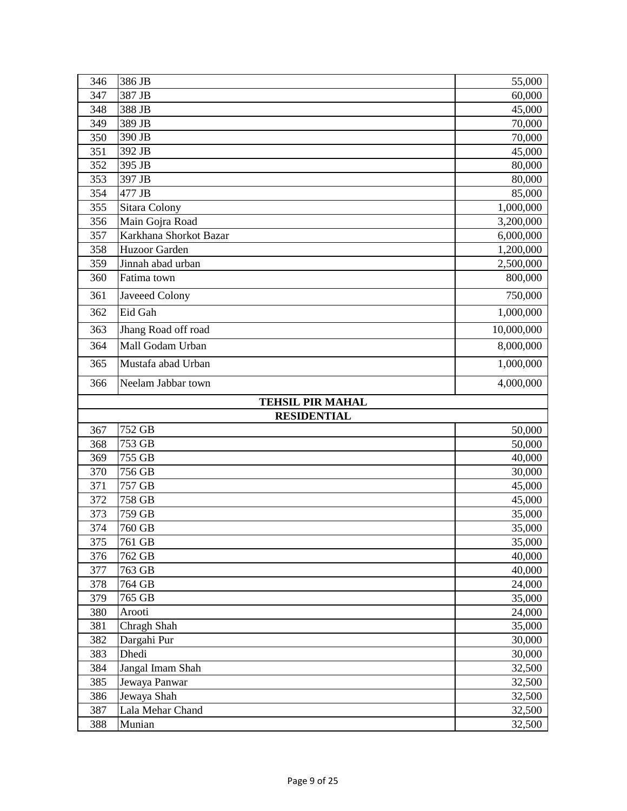| 346        | 386 JB                     | 55,000           |
|------------|----------------------------|------------------|
| 347        | 387 JB                     | 60,000           |
| 348        | 388 JB                     | 45,000           |
| 349        | 389 JB                     | 70,000           |
| 350        | 390 JB                     | 70,000           |
| 351        | 392 JB                     | 45,000           |
| 352        | 395 JB                     | 80,000           |
| 353        | 397 JB                     | 80,000           |
| 354        | 477 JB                     | 85,000           |
| 355        | Sitara Colony              | 1,000,000        |
| 356        | Main Gojra Road            | 3,200,000        |
| 357        | Karkhana Shorkot Bazar     | 6,000,000        |
| 358        | Huzoor Garden              | 1,200,000        |
| 359        | Jinnah abad urban          | 2,500,000        |
| 360        | Fatima town                | 800,000          |
| 361        | Javeeed Colony             | 750,000          |
| 362        | Eid Gah                    | 1,000,000        |
| 363        | Jhang Road off road        | 10,000,000       |
| 364        | Mall Godam Urban           | 8,000,000        |
| 365        | Mustafa abad Urban         | 1,000,000        |
| 366        | Neelam Jabbar town         | 4,000,000        |
|            | <b>TEHSIL PIR MAHAL</b>    |                  |
|            | <b>RESIDENTIAL</b>         |                  |
| 367        | 752 GB                     | 50,000           |
| 368        | 753 GB                     | 50,000           |
| 369        | 755 GB                     | 40,000           |
| 370        | 756 GB                     | 30,000           |
| 371        | 757 GB                     | 45,000           |
| 372        | 758 GB                     | 45,000           |
| 373        | 759 GB                     | 35,000           |
| 374        | 760 GB                     | 35,000           |
| 375        | 761 GB                     | 35,000           |
| 376        | 762 GB                     | 40,000           |
| 377        | 763 GB                     | 40,000           |
| 378        | 764 GB                     | 24,000           |
| 379        |                            |                  |
| 380        | 765 GB                     | 35,000           |
|            | Arooti                     | 24,000           |
| 381        | Chragh Shah                | 35,000           |
| 382        | Dargahi Pur                | 30,000           |
| 383        | Dhedi                      | 30,000           |
| 384        | Jangal Imam Shah           | 32,500           |
| 385        | Jewaya Panwar              | 32,500           |
| 386        | Jewaya Shah                | 32,500           |
| 387<br>388 | Lala Mehar Chand<br>Munian | 32,500<br>32,500 |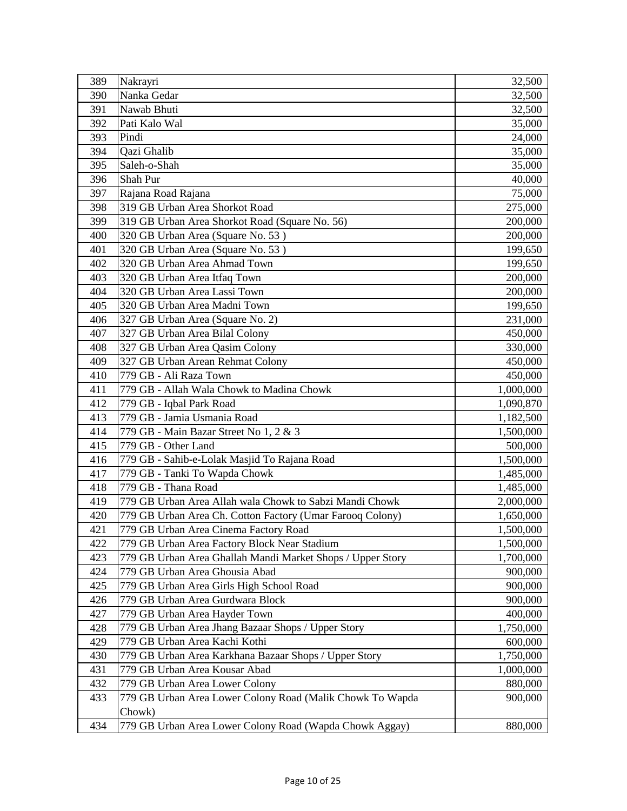| 389 | Nakrayri                                                   | 32,500    |
|-----|------------------------------------------------------------|-----------|
| 390 | Nanka Gedar                                                | 32,500    |
| 391 | Nawab Bhuti                                                | 32,500    |
| 392 | Pati Kalo Wal                                              | 35,000    |
| 393 | Pindi                                                      | 24,000    |
| 394 | Qazi Ghalib                                                | 35,000    |
| 395 | Saleh-o-Shah                                               | 35,000    |
| 396 | Shah Pur                                                   | 40,000    |
| 397 | Rajana Road Rajana                                         | 75,000    |
| 398 | 319 GB Urban Area Shorkot Road                             | 275,000   |
| 399 | 319 GB Urban Area Shorkot Road (Square No. 56)             | 200,000   |
| 400 | 320 GB Urban Area (Square No. 53)                          | 200,000   |
| 401 | 320 GB Urban Area (Square No. 53)                          | 199,650   |
| 402 | 320 GB Urban Area Ahmad Town                               | 199,650   |
| 403 | 320 GB Urban Area Itfaq Town                               | 200,000   |
| 404 | 320 GB Urban Area Lassi Town                               | 200,000   |
| 405 | 320 GB Urban Area Madni Town                               | 199,650   |
| 406 | 327 GB Urban Area (Square No. 2)                           | 231,000   |
| 407 | 327 GB Urban Area Bilal Colony                             | 450,000   |
| 408 | 327 GB Urban Area Qasim Colony                             | 330,000   |
| 409 | 327 GB Urban Arean Rehmat Colony                           | 450,000   |
| 410 | 779 GB - Ali Raza Town                                     | 450,000   |
| 411 | 779 GB - Allah Wala Chowk to Madina Chowk                  | 1,000,000 |
| 412 | 779 GB - Iqbal Park Road                                   | 1,090,870 |
| 413 | 779 GB - Jamia Usmania Road                                | 1,182,500 |
| 414 | 779 GB - Main Bazar Street No 1, 2 & 3                     | 1,500,000 |
| 415 | 779 GB - Other Land                                        | 500,000   |
| 416 | 779 GB - Sahib-e-Lolak Masjid To Rajana Road               | 1,500,000 |
| 417 | 779 GB - Tanki To Wapda Chowk                              | 1,485,000 |
| 418 | 779 GB - Thana Road                                        | 1,485,000 |
| 419 | 779 GB Urban Area Allah wala Chowk to Sabzi Mandi Chowk    | 2,000,000 |
| 420 | 779 GB Urban Area Ch. Cotton Factory (Umar Farooq Colony)  | 1,650,000 |
| 421 | 779 GB Urban Area Cinema Factory Road                      | 1,500,000 |
| 422 | 779 GB Urban Area Factory Block Near Stadium               | 1,500,000 |
| 423 | 779 GB Urban Area Ghallah Mandi Market Shops / Upper Story | 1,700,000 |
| 424 | 779 GB Urban Area Ghousia Abad                             | 900,000   |
| 425 | 779 GB Urban Area Girls High School Road                   | 900,000   |
| 426 | 779 GB Urban Area Gurdwara Block                           | 900,000   |
| 427 | 779 GB Urban Area Hayder Town                              | 400,000   |
| 428 | 779 GB Urban Area Jhang Bazaar Shops / Upper Story         | 1,750,000 |
| 429 | 779 GB Urban Area Kachi Kothi                              | 600,000   |
| 430 | 779 GB Urban Area Karkhana Bazaar Shops / Upper Story      | 1,750,000 |
| 431 | 779 GB Urban Area Kousar Abad                              | 1,000,000 |
| 432 | 779 GB Urban Area Lower Colony                             | 880,000   |
| 433 | 779 GB Urban Area Lower Colony Road (Malik Chowk To Wapda  | 900,000   |
|     | Chowk)                                                     |           |
| 434 | 779 GB Urban Area Lower Colony Road (Wapda Chowk Aggay)    | 880,000   |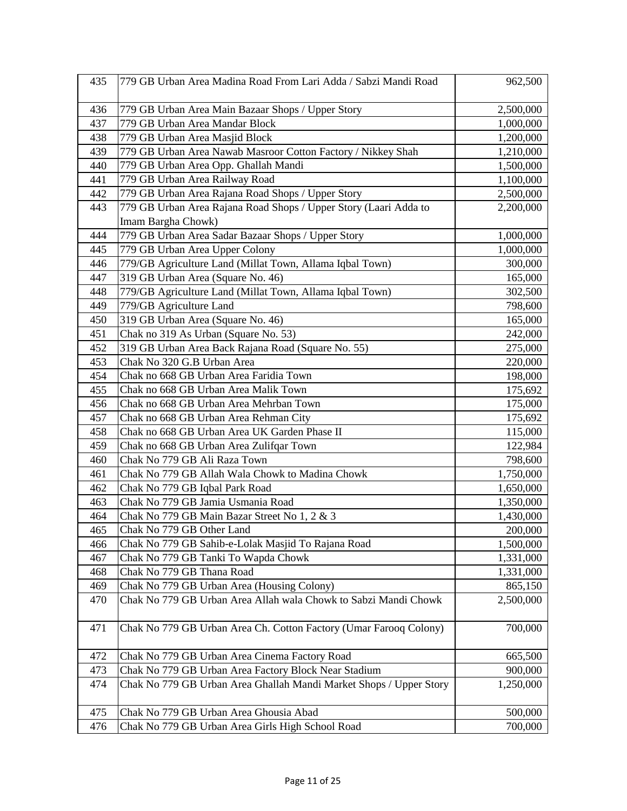| 435 | 779 GB Urban Area Madina Road From Lari Adda / Sabzi Mandi Road    | 962,500   |
|-----|--------------------------------------------------------------------|-----------|
| 436 | 779 GB Urban Area Main Bazaar Shops / Upper Story                  | 2,500,000 |
| 437 | 779 GB Urban Area Mandar Block                                     | 1,000,000 |
| 438 | 779 GB Urban Area Masjid Block                                     | 1,200,000 |
| 439 | 779 GB Urban Area Nawab Masroor Cotton Factory / Nikkey Shah       | 1,210,000 |
| 440 | 779 GB Urban Area Opp. Ghallah Mandi                               | 1,500,000 |
| 441 | 779 GB Urban Area Railway Road                                     | 1,100,000 |
| 442 | 779 GB Urban Area Rajana Road Shops / Upper Story                  | 2,500,000 |
| 443 | 779 GB Urban Area Rajana Road Shops / Upper Story (Laari Adda to   | 2,200,000 |
|     | Imam Bargha Chowk)                                                 |           |
| 444 | 779 GB Urban Area Sadar Bazaar Shops / Upper Story                 | 1,000,000 |
| 445 | 779 GB Urban Area Upper Colony                                     | 1,000,000 |
| 446 | 779/GB Agriculture Land (Millat Town, Allama Iqbal Town)           | 300,000   |
| 447 | 319 GB Urban Area (Square No. 46)                                  | 165,000   |
| 448 | 779/GB Agriculture Land (Millat Town, Allama Iqbal Town)           | 302,500   |
| 449 | 779/GB Agriculture Land                                            | 798,600   |
| 450 | 319 GB Urban Area (Square No. 46)                                  | 165,000   |
| 451 | Chak no 319 As Urban (Square No. 53)                               | 242,000   |
| 452 | 319 GB Urban Area Back Rajana Road (Square No. 55)                 | 275,000   |
| 453 | Chak No 320 G.B Urban Area                                         | 220,000   |
| 454 | Chak no 668 GB Urban Area Faridia Town                             | 198,000   |
| 455 | Chak no 668 GB Urban Area Malik Town                               | 175,692   |
| 456 | Chak no 668 GB Urban Area Mehrban Town                             | 175,000   |
| 457 | Chak no 668 GB Urban Area Rehman City                              | 175,692   |
| 458 | Chak no 668 GB Urban Area UK Garden Phase II                       | 115,000   |
| 459 | Chak no 668 GB Urban Area Zulifqar Town                            | 122,984   |
| 460 | Chak No 779 GB Ali Raza Town                                       | 798,600   |
| 461 | Chak No 779 GB Allah Wala Chowk to Madina Chowk                    | 1,750,000 |
| 462 | Chak No 779 GB Iqbal Park Road                                     | 1,650,000 |
| 463 | Chak No 779 GB Jamia Usmania Road                                  | 1,350,000 |
| 464 | Chak No 779 GB Main Bazar Street No 1, 2 & 3                       | 1,430,000 |
| 465 | Chak No 779 GB Other Land                                          | 200,000   |
| 466 | Chak No 779 GB Sahib-e-Lolak Masjid To Rajana Road                 | 1,500,000 |
| 467 | Chak No 779 GB Tanki To Wapda Chowk                                | 1,331,000 |
| 468 | Chak No 779 GB Thana Road                                          | 1,331,000 |
| 469 | Chak No 779 GB Urban Area (Housing Colony)                         | 865,150   |
| 470 | Chak No 779 GB Urban Area Allah wala Chowk to Sabzi Mandi Chowk    | 2,500,000 |
| 471 | Chak No 779 GB Urban Area Ch. Cotton Factory (Umar Farooq Colony)  | 700,000   |
| 472 | Chak No 779 GB Urban Area Cinema Factory Road                      | 665,500   |
| 473 | Chak No 779 GB Urban Area Factory Block Near Stadium               | 900,000   |
| 474 | Chak No 779 GB Urban Area Ghallah Mandi Market Shops / Upper Story | 1,250,000 |
| 475 | Chak No 779 GB Urban Area Ghousia Abad                             | 500,000   |
| 476 | Chak No 779 GB Urban Area Girls High School Road                   | 700,000   |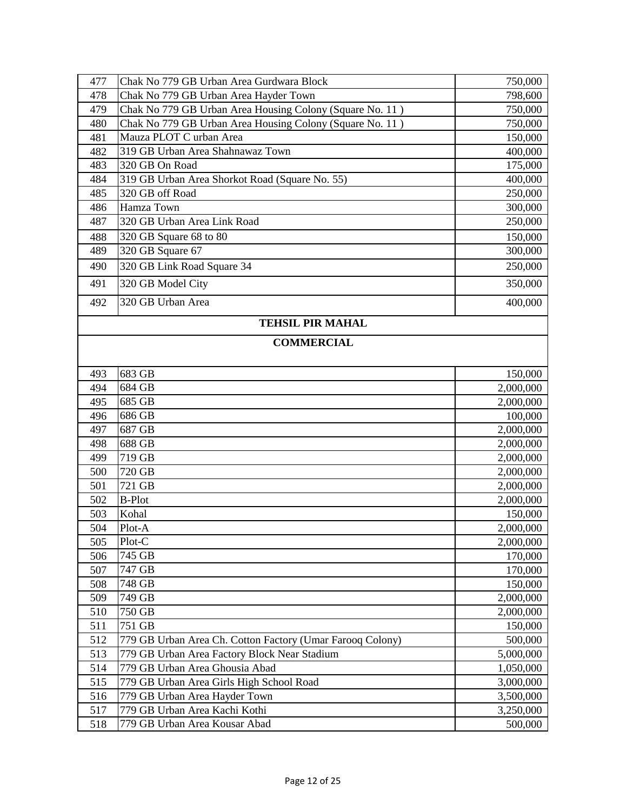| 477        | Chak No 779 GB Urban Area Gurdwara Block                  | 750,000            |
|------------|-----------------------------------------------------------|--------------------|
| 478        | Chak No 779 GB Urban Area Hayder Town                     | 798,600            |
| 479        | Chak No 779 GB Urban Area Housing Colony (Square No. 11)  | 750,000            |
| 480        | Chak No 779 GB Urban Area Housing Colony (Square No. 11)  | 750,000            |
| 481        | Mauza PLOT C urban Area                                   | 150,000            |
| 482        | 319 GB Urban Area Shahnawaz Town                          | 400,000            |
| 483        | 320 GB On Road                                            | 175,000            |
| 484        | 319 GB Urban Area Shorkot Road (Square No. 55)            | 400,000            |
| 485        | 320 GB off Road                                           | 250,000            |
| 486        | Hamza Town                                                | 300,000            |
| 487        | 320 GB Urban Area Link Road                               | 250,000            |
| 488        | 320 GB Square 68 to 80                                    | 150,000            |
| 489        | 320 GB Square 67                                          | 300,000            |
| 490        | 320 GB Link Road Square 34                                | 250,000            |
| 491        | 320 GB Model City                                         | 350,000            |
| 492        | 320 GB Urban Area                                         | 400,000            |
|            | <b>TEHSIL PIR MAHAL</b>                                   |                    |
|            | <b>COMMERCIAL</b>                                         |                    |
|            |                                                           |                    |
| 493        | 683 GB                                                    | 150,000            |
| 494        | 684 GB                                                    | 2,000,000          |
| 495        | 685 GB                                                    | 2,000,000          |
| 496        | 686 GB                                                    | 100,000            |
| 497        | 687 GB                                                    | 2,000,000          |
| 498        | 688 GB                                                    | 2,000,000          |
| 499        | 719 GB                                                    | 2,000,000          |
| 500        | 720 GB                                                    | 2,000,000          |
| 501        | 721 GB                                                    | 2,000,000          |
| 502        | <b>B-Plot</b>                                             | 2,000,000          |
| 503        | Kohal                                                     | 150,000            |
| 504        | Plot-A                                                    | 2,000,000          |
| 505        | Plot-C                                                    | 2,000,000          |
| 506<br>507 | 745 GB                                                    | 170,000            |
| 508        | 747 GB<br>748 GB                                          | 170,000<br>150,000 |
| 509        | 749 GB                                                    | 2,000,000          |
| 510        | 750 GB                                                    | 2,000,000          |
| 511        | 751 GB                                                    | 150,000            |
| 512        | 779 GB Urban Area Ch. Cotton Factory (Umar Farooq Colony) | 500,000            |
| 513        | 779 GB Urban Area Factory Block Near Stadium              | 5,000,000          |
| 514        | 779 GB Urban Area Ghousia Abad                            | 1,050,000          |
| 515        | 779 GB Urban Area Girls High School Road                  | 3,000,000          |
| 516        | 779 GB Urban Area Hayder Town                             | 3,500,000          |
| 517        | 779 GB Urban Area Kachi Kothi                             | 3,250,000          |
| 518        | 779 GB Urban Area Kousar Abad                             | 500,000            |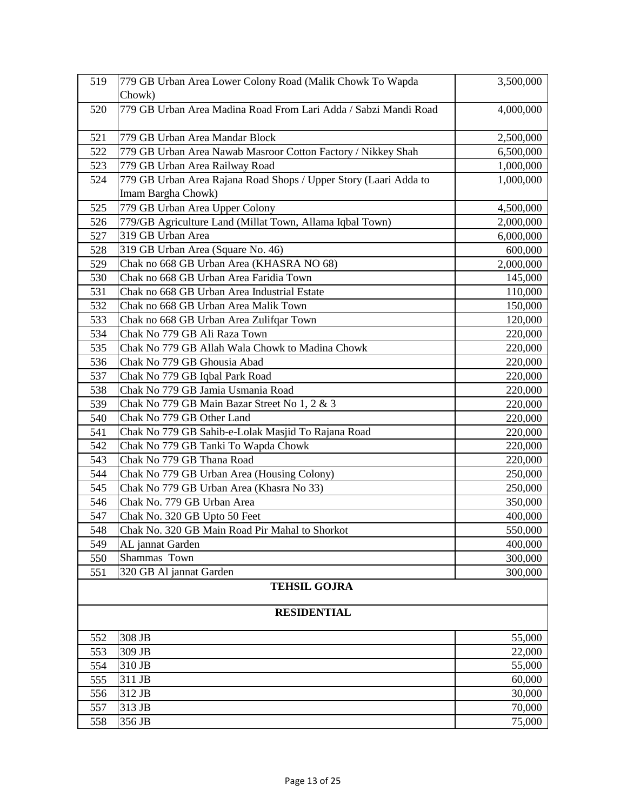| 519                 | 779 GB Urban Area Lower Colony Road (Malik Chowk To Wapda        | 3,500,000 |
|---------------------|------------------------------------------------------------------|-----------|
|                     | Chowk)                                                           |           |
| 520                 | 779 GB Urban Area Madina Road From Lari Adda / Sabzi Mandi Road  | 4,000,000 |
| 521                 | 779 GB Urban Area Mandar Block                                   | 2,500,000 |
| 522                 | 779 GB Urban Area Nawab Masroor Cotton Factory / Nikkey Shah     | 6,500,000 |
| 523                 | 779 GB Urban Area Railway Road                                   | 1,000,000 |
| 524                 | 779 GB Urban Area Rajana Road Shops / Upper Story (Laari Adda to | 1,000,000 |
|                     | Imam Bargha Chowk)                                               |           |
| 525                 | 779 GB Urban Area Upper Colony                                   | 4,500,000 |
| 526                 | 779/GB Agriculture Land (Millat Town, Allama Iqbal Town)         | 2,000,000 |
| 527                 | 319 GB Urban Area                                                | 6,000,000 |
| 528                 | 319 GB Urban Area (Square No. 46)                                | 600,000   |
| 529                 | Chak no 668 GB Urban Area (KHASRA NO 68)                         | 2,000,000 |
| 530                 | Chak no 668 GB Urban Area Faridia Town                           | 145,000   |
| 531                 | Chak no 668 GB Urban Area Industrial Estate                      | 110,000   |
| 532                 | Chak no 668 GB Urban Area Malik Town                             | 150,000   |
| 533                 | Chak no 668 GB Urban Area Zulifqar Town                          | 120,000   |
| 534                 | Chak No 779 GB Ali Raza Town                                     | 220,000   |
| 535                 | Chak No 779 GB Allah Wala Chowk to Madina Chowk                  | 220,000   |
| 536                 | Chak No 779 GB Ghousia Abad                                      | 220,000   |
| 537                 | Chak No 779 GB Iqbal Park Road                                   | 220,000   |
| 538                 | Chak No 779 GB Jamia Usmania Road                                | 220,000   |
| 539                 | Chak No 779 GB Main Bazar Street No 1, 2 & 3                     | 220,000   |
| 540                 | Chak No 779 GB Other Land                                        | 220,000   |
| 541                 | Chak No 779 GB Sahib-e-Lolak Masjid To Rajana Road               | 220,000   |
| 542                 | Chak No 779 GB Tanki To Wapda Chowk                              | 220,000   |
| 543                 | Chak No 779 GB Thana Road                                        | 220,000   |
| 544                 | Chak No 779 GB Urban Area (Housing Colony)                       | 250,000   |
| 545                 | Chak No 779 GB Urban Area (Khasra No 33)                         | 250,000   |
| 546                 | Chak No. 779 GB Urban Area                                       | 350,000   |
| 547                 | Chak No. 320 GB Upto 50 Feet                                     | 400,000   |
| 548                 | Chak No. 320 GB Main Road Pir Mahal to Shorkot                   | 550,000   |
| 549                 | AL jannat Garden                                                 | 400,000   |
| 550                 | Shammas Town                                                     | 300,000   |
| 551                 | 320 GB Al jannat Garden                                          | 300,000   |
| <b>TEHSIL GOJRA</b> |                                                                  |           |
| <b>RESIDENTIAL</b>  |                                                                  |           |
| 552                 | 308 JB                                                           | 55,000    |
| 553                 | 309 JB                                                           | 22,000    |
| 554                 | 310 JB                                                           | 55,000    |
| 555                 | 311 JB                                                           | 60,000    |
| 556                 | 312 JB                                                           | 30,000    |
| 557                 | 313 JB                                                           | 70,000    |
| 558                 | 356 JB                                                           | 75,000    |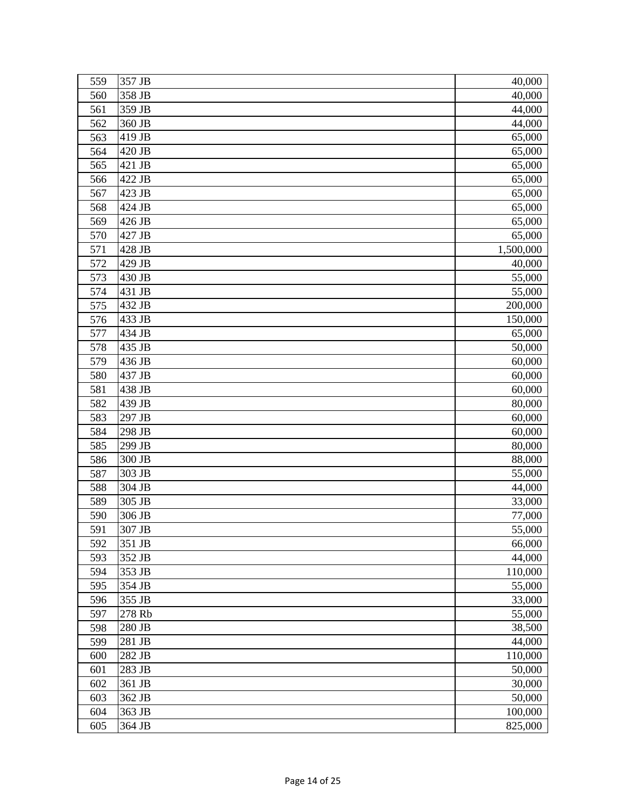| 560<br>358 JB                  | 40,000           |
|--------------------------------|------------------|
| 359 JB<br>561                  | 44,000           |
| 562<br>360 JB                  | 44,000           |
| 419 JB<br>563                  | 65,000           |
| 564<br>420 JB                  | 65,000           |
| 421 JB<br>565                  | 65,000           |
| 566<br>422 JB                  | 65,000           |
| 567<br>423 JB                  | 65,000           |
| 568<br>424 JB                  | 65,000           |
| 426 JB<br>569                  | 65,000           |
| 570<br>427 JB                  | 65,000           |
| 571<br>428 JB                  | 1,500,000        |
| 572<br>429 JB                  | 40,000           |
| 430 JB<br>573                  | 55,000           |
| 574<br>431 JB                  | 55,000           |
| 575<br>432 JB                  | 200,000          |
| 576<br>433 JB                  | 150,000          |
| 577<br>434 JB                  | 65,000           |
| 578<br>435 JB                  | 50,000           |
| 579<br>436 JB                  | 60,000           |
| 580<br>437 JB                  | 60,000           |
| 581<br>438 JB                  | 60,000           |
| 582<br>439 JB                  | 80,000           |
| 583<br>297 JB                  | 60,000           |
| 584<br>298 JB                  | 60,000           |
| 585<br>299 JB                  | 80,000           |
| 586<br>300 JB                  | 88,000           |
| 587<br>303 JB                  | 55,000           |
| 588<br>304 JB                  | 44,000           |
| 589<br>305 JB                  | 33,000           |
| 306 JB<br>590                  | 77,000           |
| 591<br>307 JB                  | 55,000           |
| 351 JB<br>592<br>593<br>352 JB | 66,000<br>44,000 |
| 594<br>353 JB                  | 110,000          |
| 595<br>354 JB                  | 55,000           |
| 355 JB<br>596                  | 33,000           |
| 597<br>278 Rb                  | 55,000           |
| 598<br>280 JB                  | 38,500           |
| 599<br>281 JB                  | 44,000           |
| 282 JB<br>600                  | 110,000          |
| 601<br>283 JB                  | 50,000           |
| 361 JB<br>602                  | 30,000           |
| 603<br>362 JB                  | 50,000           |
| 604<br>363 JB                  | 100,000          |
| 605<br>364 JB                  | 825,000          |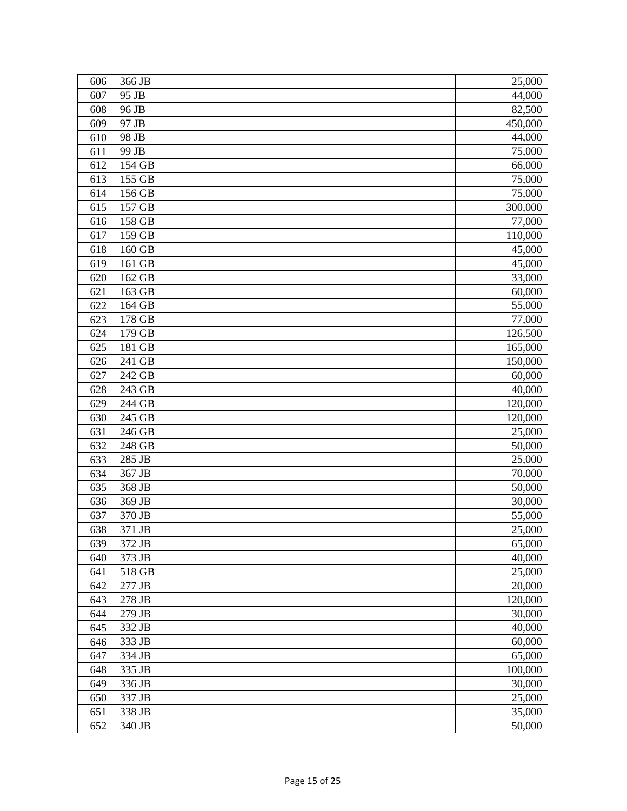| 606 | 366 JB               | 25,000  |
|-----|----------------------|---------|
| 607 | 95 JB                | 44,000  |
| 608 | 96 JB                | 82,500  |
| 609 | 97 JB                | 450,000 |
| 610 | 98 JB                | 44,000  |
| 611 | 99 JB                | 75,000  |
| 612 | 154 GB               | 66,000  |
| 613 | 155 GB               | 75,000  |
| 614 | 156 GB               | 75,000  |
| 615 | 157 GB               | 300,000 |
| 616 | 158 GB               | 77,000  |
| 617 | 159 GB               | 110,000 |
| 618 | 160 GB               | 45,000  |
| 619 | 161 GB               | 45,000  |
| 620 | 162 GB               | 33,000  |
| 621 | 163 GB               | 60,000  |
| 622 | 164 GB               | 55,000  |
| 623 | 178 GB               | 77,000  |
| 624 | 179 GB               | 126,500 |
| 625 | 181 GB               | 165,000 |
| 626 | 241 GB               | 150,000 |
| 627 | 242 GB               | 60,000  |
| 628 | 243 GB               | 40,000  |
| 629 | 244 GB               | 120,000 |
| 630 | 245 GB               | 120,000 |
| 631 | 246 GB               | 25,000  |
| 632 | $\overline{2}$ 48 GB | 50,000  |
| 633 | 285 JB               | 25,000  |
| 634 | 367 JB               | 70,000  |
| 635 | 368 JB               | 50,000  |
| 636 | 369 JB               | 30,000  |
| 637 | 370 JB               | 55,000  |
| 638 | 371 JB               | 25,000  |
| 639 | 372 JB               | 65,000  |
| 640 | 373 JB               | 40,000  |
| 641 | 518 GB               | 25,000  |
| 642 | 277 JB               | 20,000  |
| 643 | 278 JB               | 120,000 |
| 644 | 279 JB               | 30,000  |
| 645 | 332 JB               | 40,000  |
| 646 | 333 JB               | 60,000  |
| 647 | 334 JB               | 65,000  |
| 648 | 335 JB               | 100,000 |
| 649 | 336 JB               | 30,000  |
| 650 | 337 JB               | 25,000  |
| 651 | 338 JB               | 35,000  |
| 652 | 340 JB               | 50,000  |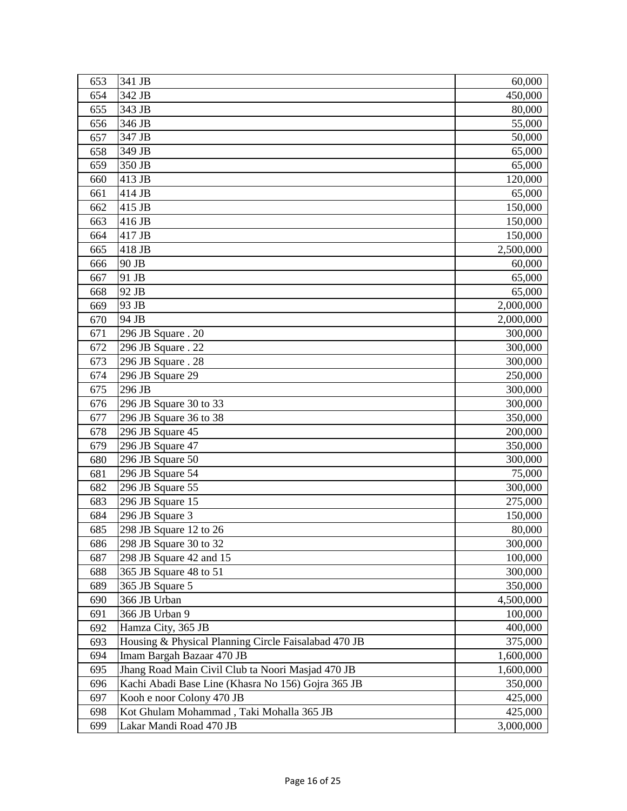| 653 | 341 JB                                               | 60,000    |
|-----|------------------------------------------------------|-----------|
| 654 | 342 JB                                               | 450,000   |
| 655 | 343 JB                                               | 80,000    |
| 656 | 346 JB                                               | 55,000    |
| 657 | 347 JB                                               | 50,000    |
| 658 | 349 JB                                               | 65,000    |
| 659 | 350 JB                                               | 65,000    |
| 660 | 413 JB                                               | 120,000   |
| 661 | 414 JB                                               | 65,000    |
| 662 | 415 JB                                               | 150,000   |
| 663 | 416 JB                                               | 150,000   |
| 664 | 417 JB                                               | 150,000   |
| 665 | 418 JB                                               | 2,500,000 |
| 666 | 90 JB                                                | 60,000    |
| 667 | 91 JB                                                | 65,000    |
| 668 | 92 JB                                                | 65,000    |
| 669 | 93 JB                                                | 2,000,000 |
| 670 | 94 JB                                                | 2,000,000 |
| 671 | 296 JB Square . 20                                   | 300,000   |
| 672 | 296 JB Square . 22                                   | 300,000   |
| 673 | 296 JB Square . 28                                   | 300,000   |
| 674 | 296 JB Square 29                                     | 250,000   |
| 675 | 296 JB                                               | 300,000   |
| 676 | 296 JB Square 30 to 33                               | 300,000   |
| 677 | 296 JB Square 36 to 38                               | 350,000   |
| 678 | 296 JB Square 45                                     | 200,000   |
| 679 | 296 JB Square 47                                     | 350,000   |
| 680 | 296 JB Square 50                                     | 300,000   |
| 681 | 296 JB Square 54                                     | 75,000    |
| 682 | 296 JB Square 55                                     | 300,000   |
| 683 | 296 JB Square 15                                     | 275,000   |
| 684 | 296 JB Square 3                                      | 150,000   |
| 685 | 298 JB Square 12 to 26                               | 80,000    |
| 686 | 298 JB Square 30 to 32                               | 300,000   |
| 687 | 298 JB Square 42 and 15                              | 100,000   |
| 688 | 365 JB Square 48 to 51                               | 300,000   |
| 689 | 365 JB Square 5                                      | 350,000   |
| 690 | 366 JB Urban                                         | 4,500,000 |
| 691 | 366 JB Urban 9                                       | 100,000   |
| 692 | Hamza City, 365 JB                                   | 400,000   |
| 693 | Housing & Physical Planning Circle Faisalabad 470 JB | 375,000   |
| 694 | Imam Bargah Bazaar 470 JB                            | 1,600,000 |
| 695 | Jhang Road Main Civil Club ta Noori Masjad 470 JB    | 1,600,000 |
| 696 | Kachi Abadi Base Line (Khasra No 156) Gojra 365 JB   | 350,000   |
| 697 | Kooh e noor Colony 470 JB                            | 425,000   |
| 698 | Kot Ghulam Mohammad, Taki Mohalla 365 JB             | 425,000   |
| 699 | Lakar Mandi Road 470 JB                              | 3,000,000 |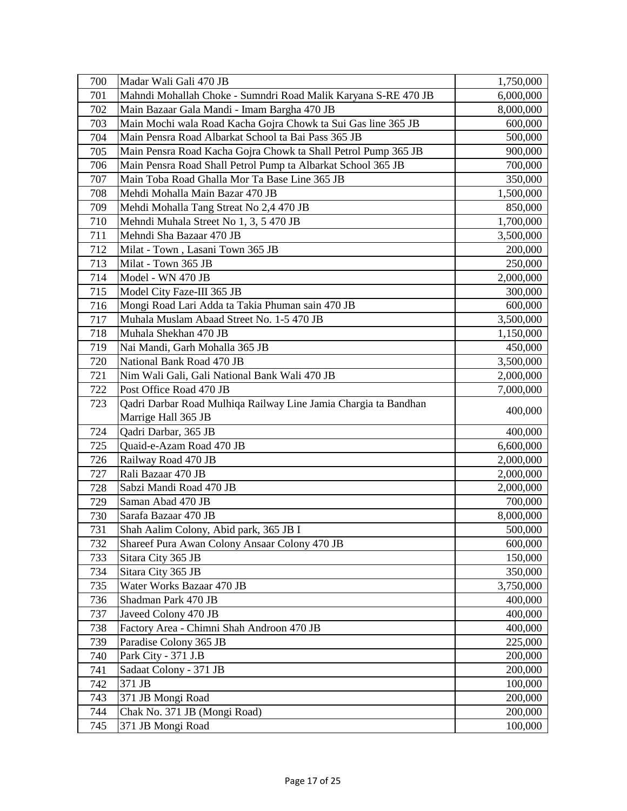| 700 | Madar Wali Gali 470 JB                                          | 1,750,000 |
|-----|-----------------------------------------------------------------|-----------|
| 701 | Mahndi Mohallah Choke - Sumndri Road Malik Karyana S-RE 470 JB  | 6,000,000 |
| 702 | Main Bazaar Gala Mandi - Imam Bargha 470 JB                     | 8,000,000 |
| 703 | Main Mochi wala Road Kacha Gojra Chowk ta Sui Gas line 365 JB   | 600,000   |
| 704 | Main Pensra Road Albarkat School ta Bai Pass 365 JB             | 500,000   |
| 705 | Main Pensra Road Kacha Gojra Chowk ta Shall Petrol Pump 365 JB  | 900,000   |
| 706 | Main Pensra Road Shall Petrol Pump ta Albarkat School 365 JB    | 700,000   |
| 707 | Main Toba Road Ghalla Mor Ta Base Line 365 JB                   | 350,000   |
| 708 | Mehdi Mohalla Main Bazar 470 JB                                 | 1,500,000 |
| 709 | Mehdi Mohalla Tang Streat No 2,4 470 JB                         | 850,000   |
| 710 | Mehndi Muhala Street No 1, 3, 5 470 JB                          | 1,700,000 |
| 711 | Mehndi Sha Bazaar 470 JB                                        | 3,500,000 |
| 712 | Milat - Town, Lasani Town 365 JB                                | 200,000   |
| 713 | Milat - Town 365 JB                                             | 250,000   |
| 714 | Model - WN 470 JB                                               | 2,000,000 |
| 715 | Model City Faze-III 365 JB                                      | 300,000   |
| 716 | Mongi Road Lari Adda ta Takia Phuman sain 470 JB                | 600,000   |
| 717 | Muhala Muslam Abaad Street No. 1-5 470 JB                       | 3,500,000 |
| 718 | Muhala Shekhan 470 JB                                           | 1,150,000 |
| 719 | Nai Mandi, Garh Mohalla 365 JB                                  | 450,000   |
| 720 | National Bank Road 470 JB                                       | 3,500,000 |
| 721 | Nim Wali Gali, Gali National Bank Wali 470 JB                   | 2,000,000 |
| 722 | Post Office Road 470 JB                                         | 7,000,000 |
| 723 | Qadri Darbar Road Mulhiqa Railway Line Jamia Chargia ta Bandhan | 400,000   |
|     | Marrige Hall 365 JB                                             |           |
| 724 | Qadri Darbar, 365 JB                                            | 400,000   |
| 725 | Quaid-e-Azam Road 470 JB                                        | 6,600,000 |
| 726 | Railway Road 470 JB                                             | 2,000,000 |
| 727 | Rali Bazaar 470 JB                                              | 2,000,000 |
| 728 | Sabzi Mandi Road 470 JB                                         | 2,000,000 |
| 729 | Saman Abad 470 JB                                               | 700,000   |
| 730 | Sarafa Bazaar 470 JB                                            | 8,000,000 |
| 731 | Shah Aalim Colony, Abid park, 365 JB I                          | 500,000   |
| 732 | Shareef Pura Awan Colony Ansaar Colony 470 JB                   | 600,000   |
| 733 | Sitara City 365 JB                                              | 150,000   |
| 734 | Sitara City 365 JB                                              | 350,000   |
| 735 | Water Works Bazaar 470 JB                                       | 3,750,000 |
| 736 | Shadman Park 470 JB                                             | 400,000   |
| 737 | Javeed Colony 470 JB                                            | 400,000   |
| 738 | Factory Area - Chimni Shah Androon 470 JB                       | 400,000   |
| 739 | Paradise Colony 365 JB                                          | 225,000   |
| 740 | Park City - 371 J.B                                             | 200,000   |
| 741 | Sadaat Colony - 371 JB                                          | 200,000   |
| 742 | 371 JB                                                          | 100,000   |
| 743 | 371 JB Mongi Road                                               | 200,000   |
| 744 | Chak No. 371 JB (Mongi Road)                                    | 200,000   |
| 745 | 371 JB Mongi Road                                               | 100,000   |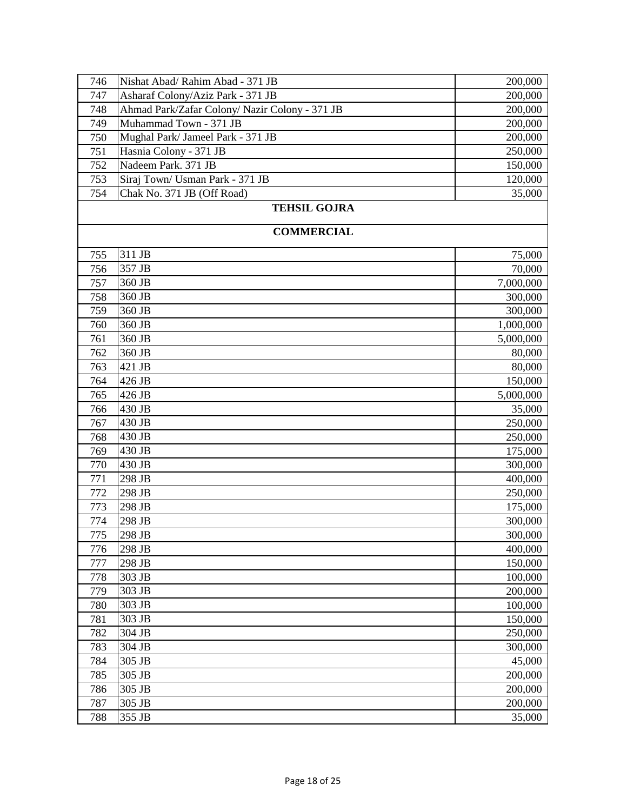| 746 | Nishat Abad/ Rahim Abad - 371 JB              | 200,000   |
|-----|-----------------------------------------------|-----------|
| 747 | Asharaf Colony/Aziz Park - 371 JB             | 200,000   |
| 748 | Ahmad Park/Zafar Colony/Nazir Colony - 371 JB | 200,000   |
| 749 | Muhammad Town - 371 JB                        | 200,000   |
| 750 | Mughal Park/ Jameel Park - 371 JB             | 200,000   |
| 751 | Hasnia Colony - 371 JB                        | 250,000   |
| 752 | Nadeem Park. 371 JB                           | 150,000   |
| 753 | Siraj Town/ Usman Park - 371 JB               | 120,000   |
| 754 | Chak No. 371 JB (Off Road)                    | 35,000    |
|     | <b>TEHSIL GOJRA</b>                           |           |
|     | <b>COMMERCIAL</b>                             |           |
|     |                                               |           |
| 755 | 311 JB                                        | 75,000    |
| 756 | 357 JB                                        | 70,000    |
| 757 | 360 JB                                        | 7,000,000 |
| 758 | 360 JB                                        | 300,000   |
| 759 | 360 JB                                        | 300,000   |
| 760 | 360 JB                                        | 1,000,000 |
| 761 | 360 JB                                        | 5,000,000 |
| 762 | 360 JB                                        | 80,000    |
| 763 | 421 JB                                        | 80,000    |
| 764 | 426 JB                                        | 150,000   |
| 765 | 426 JB                                        | 5,000,000 |
| 766 | 430 JB                                        | 35,000    |
| 767 | 430 JB                                        | 250,000   |
| 768 | 430 JB                                        | 250,000   |
| 769 | 430 JB                                        | 175,000   |
| 770 | 430 JB                                        | 300,000   |
| 771 | 298 JB                                        | 400,000   |
| 772 | 298 JB                                        | 250,000   |
| 773 | 298 JB                                        | 175,000   |
| 774 | 298 JB                                        | 300,000   |
| 775 | 298 JB                                        | 300,000   |
| 776 | 298 JB                                        | 400,000   |
| 777 | 298 JB                                        | 150,000   |
| 778 | 303 JB                                        | 100,000   |
| 779 | 303 JB                                        | 200,000   |
| 780 | 303 JB                                        | 100,000   |
| 781 | 303 JB                                        | 150,000   |
| 782 | 304 JB                                        | 250,000   |
| 783 | 304 JB                                        | 300,000   |
| 784 | 305 JB                                        | 45,000    |
| 785 | 305 JB                                        | 200,000   |
| 786 | 305 JB                                        | 200,000   |
| 787 | 305 JB                                        | 200,000   |
| 788 | 355 JB                                        | 35,000    |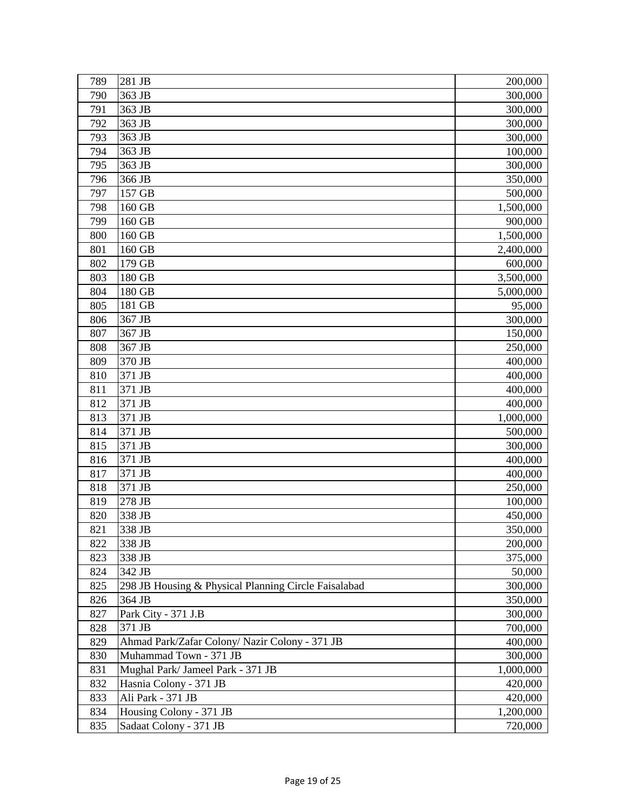| 789 | 281 JB                                               | 200,000   |
|-----|------------------------------------------------------|-----------|
| 790 | 363 JB                                               | 300,000   |
| 791 | 363 JB                                               | 300,000   |
| 792 | 363 JB                                               | 300,000   |
| 793 | 363 JB                                               | 300,000   |
| 794 | 363 JB                                               | 100,000   |
| 795 | 363 JB                                               | 300,000   |
| 796 | 366 JB                                               | 350,000   |
| 797 | 157 GB                                               | 500,000   |
| 798 | 160 GB                                               | 1,500,000 |
| 799 | 160 GB                                               | 900,000   |
| 800 | 160 GB                                               | 1,500,000 |
| 801 | 160 GB                                               | 2,400,000 |
| 802 | 179 GB                                               | 600,000   |
| 803 | 180 GB                                               | 3,500,000 |
| 804 | 180 GB                                               | 5,000,000 |
| 805 | 181 GB                                               | 95,000    |
| 806 | 367 JB                                               | 300,000   |
| 807 | 367 JB                                               | 150,000   |
| 808 | 367 JB                                               | 250,000   |
| 809 | 370 JB                                               | 400,000   |
| 810 | 371 JB                                               | 400,000   |
| 811 | 371 JB                                               | 400,000   |
| 812 | 371 JB                                               | 400,000   |
| 813 | 371 JB                                               | 1,000,000 |
| 814 | 371 JB                                               | 500,000   |
| 815 | 371 JB                                               | 300,000   |
| 816 | 371 JB                                               | 400,000   |
| 817 | 371 JB                                               | 400,000   |
| 818 | 371 JB                                               | 250,000   |
| 819 | 278 JB                                               | 100,000   |
| 820 | 338 JB                                               | 450,000   |
| 821 | 338 JB                                               | 350,000   |
| 822 | 338 JB                                               | 200,000   |
| 823 | 338 JB                                               | 375,000   |
| 824 | 342 JB                                               | 50,000    |
| 825 | 298 JB Housing & Physical Planning Circle Faisalabad | 300,000   |
| 826 | 364 JB                                               | 350,000   |
| 827 | Park City - 371 J.B                                  | 300,000   |
| 828 | 371 JB                                               | 700,000   |
| 829 | Ahmad Park/Zafar Colony/ Nazir Colony - 371 JB       | 400,000   |
| 830 | Muhammad Town - 371 JB                               | 300,000   |
| 831 | Mughal Park/ Jameel Park - 371 JB                    | 1,000,000 |
| 832 | Hasnia Colony - 371 JB                               | 420,000   |
| 833 | Ali Park - 371 JB                                    | 420,000   |
| 834 | Housing Colony - 371 JB                              | 1,200,000 |
| 835 | Sadaat Colony - 371 JB                               | 720,000   |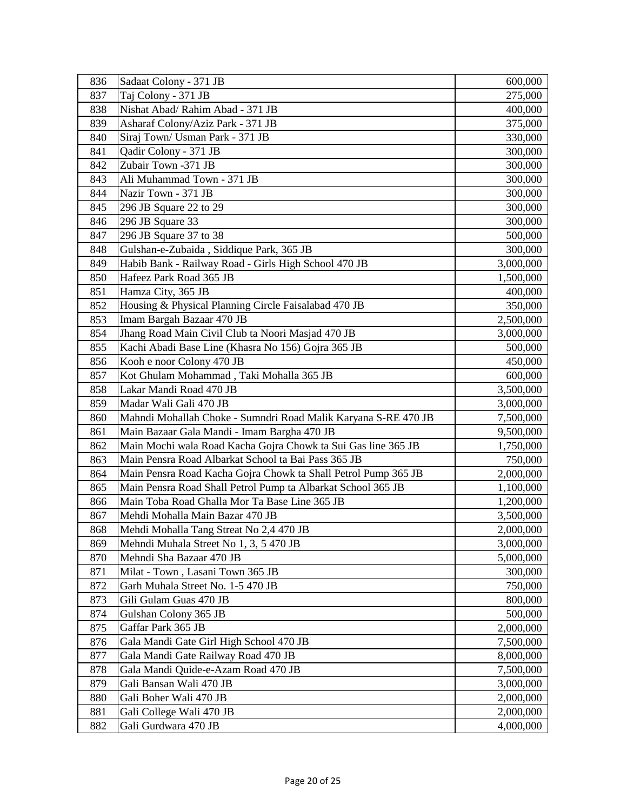| 836 | Sadaat Colony - 371 JB                                         | 600,000   |
|-----|----------------------------------------------------------------|-----------|
| 837 | Taj Colony - 371 JB                                            | 275,000   |
| 838 | Nishat Abad/ Rahim Abad - 371 JB                               | 400,000   |
| 839 | Asharaf Colony/Aziz Park - 371 JB                              | 375,000   |
| 840 | Siraj Town/ Usman Park - 371 JB                                | 330,000   |
| 841 | Qadir Colony - 371 JB                                          | 300,000   |
| 842 | Zubair Town -371 JB                                            | 300,000   |
| 843 | Ali Muhammad Town - 371 JB                                     | 300,000   |
| 844 | Nazir Town - 371 JB                                            | 300,000   |
| 845 | 296 JB Square 22 to 29                                         | 300,000   |
| 846 | 296 JB Square 33                                               | 300,000   |
| 847 | 296 JB Square 37 to 38                                         | 500,000   |
| 848 | Gulshan-e-Zubaida, Siddique Park, 365 JB                       | 300,000   |
| 849 | Habib Bank - Railway Road - Girls High School 470 JB           | 3,000,000 |
| 850 | Hafeez Park Road 365 JB                                        | 1,500,000 |
| 851 | Hamza City, 365 JB                                             | 400,000   |
| 852 | Housing & Physical Planning Circle Faisalabad 470 JB           | 350,000   |
| 853 | Imam Bargah Bazaar 470 JB                                      | 2,500,000 |
| 854 | Jhang Road Main Civil Club ta Noori Masjad 470 JB              | 3,000,000 |
| 855 | Kachi Abadi Base Line (Khasra No 156) Gojra 365 JB             | 500,000   |
| 856 | Kooh e noor Colony 470 JB                                      | 450,000   |
| 857 | Kot Ghulam Mohammad, Taki Mohalla 365 JB                       | 600,000   |
| 858 | Lakar Mandi Road 470 JB                                        | 3,500,000 |
| 859 | Madar Wali Gali 470 JB                                         | 3,000,000 |
| 860 | Mahndi Mohallah Choke - Sumndri Road Malik Karyana S-RE 470 JB | 7,500,000 |
| 861 | Main Bazaar Gala Mandi - Imam Bargha 470 JB                    | 9,500,000 |
| 862 | Main Mochi wala Road Kacha Gojra Chowk ta Sui Gas line 365 JB  | 1,750,000 |
| 863 | Main Pensra Road Albarkat School ta Bai Pass 365 JB            | 750,000   |
| 864 | Main Pensra Road Kacha Gojra Chowk ta Shall Petrol Pump 365 JB | 2,000,000 |
| 865 | Main Pensra Road Shall Petrol Pump ta Albarkat School 365 JB   | 1,100,000 |
| 866 | Main Toba Road Ghalla Mor Ta Base Line 365 JB                  | 1,200,000 |
| 867 | Mehdi Mohalla Main Bazar 470 JB                                | 3,500,000 |
| 868 | Mehdi Mohalla Tang Streat No 2,4 470 JB                        | 2,000,000 |
| 869 | Mehndi Muhala Street No 1, 3, 5 470 JB                         | 3,000,000 |
| 870 | Mehndi Sha Bazaar 470 JB                                       | 5,000,000 |
| 871 | Milat - Town, Lasani Town 365 JB                               | 300,000   |
| 872 | Garh Muhala Street No. 1-5 470 JB                              | 750,000   |
| 873 | Gili Gulam Guas 470 JB                                         | 800,000   |
| 874 | Gulshan Colony 365 JB                                          | 500,000   |
| 875 | Gaffar Park 365 JB                                             | 2,000,000 |
| 876 | Gala Mandi Gate Girl High School 470 JB                        | 7,500,000 |
| 877 | Gala Mandi Gate Railway Road 470 JB                            | 8,000,000 |
| 878 | Gala Mandi Quide-e-Azam Road 470 JB                            | 7,500,000 |
| 879 | Gali Bansan Wali 470 JB                                        | 3,000,000 |
| 880 | Gali Boher Wali 470 JB                                         | 2,000,000 |
| 881 | Gali College Wali 470 JB                                       | 2,000,000 |
| 882 | Gali Gurdwara 470 JB                                           | 4,000,000 |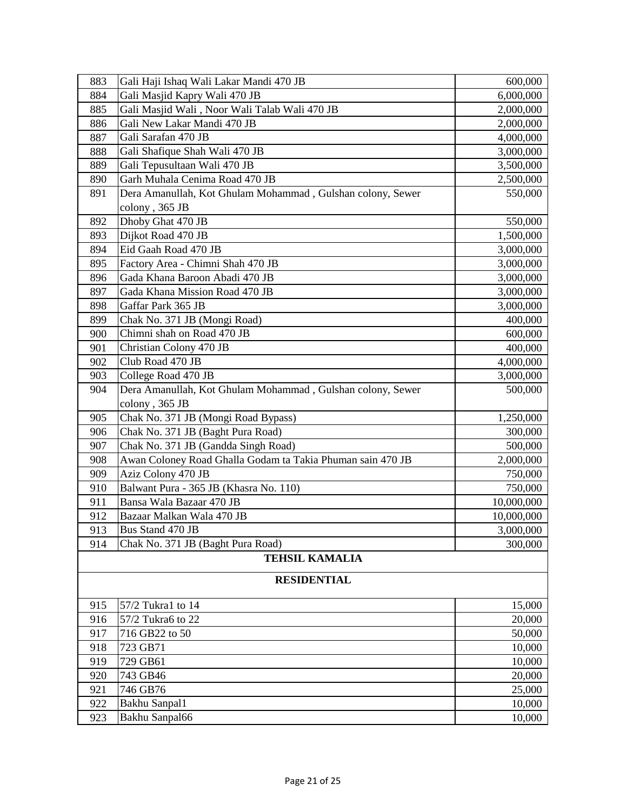| 883 | Gali Haji Ishaq Wali Lakar Mandi 470 JB                    | 600,000    |
|-----|------------------------------------------------------------|------------|
| 884 | Gali Masjid Kapry Wali 470 JB                              | 6,000,000  |
| 885 | Gali Masjid Wali, Noor Wali Talab Wali 470 JB              | 2,000,000  |
| 886 | Gali New Lakar Mandi 470 JB                                | 2,000,000  |
| 887 | Gali Sarafan 470 JB                                        | 4,000,000  |
| 888 | Gali Shafique Shah Wali 470 JB                             | 3,000,000  |
| 889 | Gali Tepusultaan Wali 470 JB                               | 3,500,000  |
| 890 | Garh Muhala Cenima Road 470 JB                             | 2,500,000  |
| 891 | Dera Amanullah, Kot Ghulam Mohammad, Gulshan colony, Sewer | 550,000    |
|     | colony, 365 JB                                             |            |
| 892 | Dhoby Ghat 470 JB                                          | 550,000    |
| 893 | Dijkot Road 470 JB                                         | 1,500,000  |
| 894 | Eid Gaah Road 470 JB                                       | 3,000,000  |
| 895 | Factory Area - Chimni Shah 470 JB                          | 3,000,000  |
| 896 | Gada Khana Baroon Abadi 470 JB                             | 3,000,000  |
| 897 | Gada Khana Mission Road 470 JB                             | 3,000,000  |
| 898 | Gaffar Park 365 JB                                         | 3,000,000  |
| 899 | Chak No. 371 JB (Mongi Road)                               | 400,000    |
| 900 | Chimni shah on Road 470 JB                                 | 600,000    |
| 901 | Christian Colony 470 JB                                    | 400,000    |
| 902 | Club Road 470 JB                                           | 4,000,000  |
| 903 | College Road 470 JB                                        | 3,000,000  |
| 904 | Dera Amanullah, Kot Ghulam Mohammad, Gulshan colony, Sewer | 500,000    |
|     | colony, 365 JB                                             |            |
| 905 | Chak No. 371 JB (Mongi Road Bypass)                        | 1,250,000  |
| 906 | Chak No. 371 JB (Baght Pura Road)                          | 300,000    |
| 907 | Chak No. 371 JB (Gandda Singh Road)                        | 500,000    |
| 908 | Awan Coloney Road Ghalla Godam ta Takia Phuman sain 470 JB | 2,000,000  |
| 909 | Aziz Colony 470 JB                                         | 750,000    |
| 910 | Balwant Pura - 365 JB (Khasra No. 110)                     | 750,000    |
| 911 | Bansa Wala Bazaar 470 JB                                   | 10,000,000 |
| 912 | Bazaar Malkan Wala 470 JB                                  | 10,000,000 |
| 913 | Bus Stand 470 JB                                           | 3,000,000  |
| 914 | Chak No. 371 JB (Baght Pura Road)                          | 300,000    |
|     | <b>TEHSIL KAMALIA</b>                                      |            |
|     | <b>RESIDENTIAL</b>                                         |            |
|     |                                                            |            |
| 915 | 57/2 Tukra1 to 14                                          | 15,000     |
| 916 | 57/2 Tukra6 to 22                                          | 20,000     |
| 917 | 716 GB22 to 50                                             | 50,000     |
| 918 | 723 GB71                                                   | 10,000     |
| 919 | 729 GB61                                                   | 10,000     |
| 920 | 743 GB46                                                   | 20,000     |
| 921 | 746 GB76                                                   | 25,000     |
| 922 | Bakhu Sanpal1                                              | 10,000     |
| 923 | Bakhu Sanpal66                                             | 10,000     |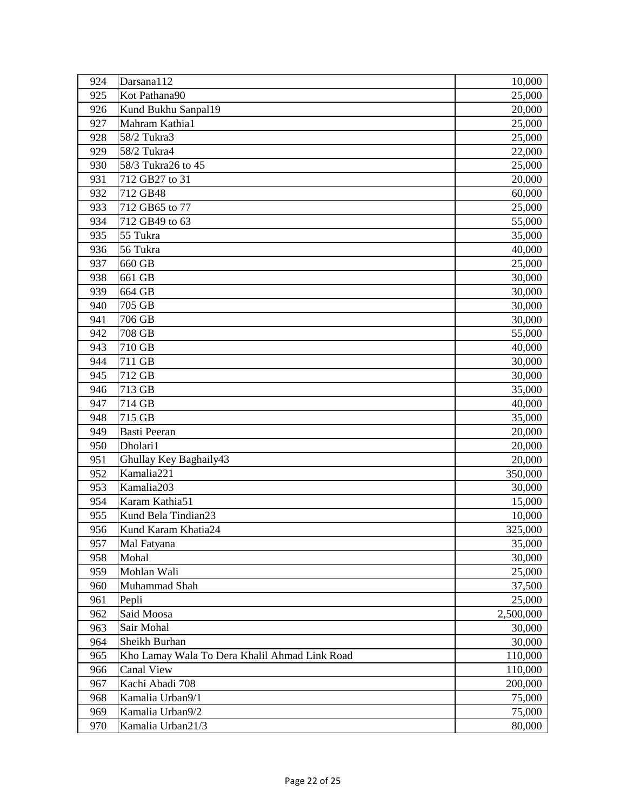| 924 | Darsana112                                    | 10,000    |
|-----|-----------------------------------------------|-----------|
| 925 | Kot Pathana90                                 | 25,000    |
| 926 | Kund Bukhu Sanpal19                           | 20,000    |
| 927 | Mahram Kathia1                                | 25,000    |
| 928 | 58/2 Tukra3                                   | 25,000    |
| 929 | 58/2 Tukra4                                   | 22,000    |
| 930 | 58/3 Tukra26 to 45                            | 25,000    |
| 931 | 712 GB27 to 31                                | 20,000    |
| 932 | 712 GB48                                      | 60,000    |
| 933 | 712 GB65 to 77                                | 25,000    |
| 934 | 712 GB49 to 63                                | 55,000    |
| 935 | 55 Tukra                                      | 35,000    |
| 936 | 56 Tukra                                      | 40,000    |
| 937 | 660 GB                                        | 25,000    |
| 938 | 661 GB                                        | 30,000    |
| 939 | 664 GB                                        | 30,000    |
| 940 | 705 GB                                        | 30,000    |
| 941 | 706 GB                                        | 30,000    |
| 942 | 708 GB                                        | 55,000    |
| 943 | 710 GB                                        | 40,000    |
| 944 | 711 GB                                        | 30,000    |
| 945 | 712 GB                                        | 30,000    |
| 946 | 713 GB                                        | 35,000    |
| 947 | 714 GB                                        | 40,000    |
| 948 | 715 GB                                        | 35,000    |
| 949 | <b>Basti Peeran</b>                           | 20,000    |
| 950 | Dholari1                                      | 20,000    |
| 951 | Ghullay Key Baghaily43                        | 20,000    |
| 952 | Kamalia221                                    | 350,000   |
| 953 | Kamalia203                                    | 30,000    |
| 954 | Karam Kathia51                                | 15,000    |
| 955 | Kund Bela Tindian23                           | 10,000    |
| 956 | Kund Karam Khatia24                           | 325,000   |
| 957 | Mal Fatyana                                   | 35,000    |
| 958 | Mohal                                         | 30,000    |
| 959 | Mohlan Wali                                   | 25,000    |
| 960 | Muhammad Shah                                 | 37,500    |
| 961 | Pepli                                         | 25,000    |
| 962 | Said Moosa                                    | 2,500,000 |
| 963 | Sair Mohal                                    | 30,000    |
| 964 | Sheikh Burhan                                 | 30,000    |
| 965 | Kho Lamay Wala To Dera Khalil Ahmad Link Road | 110,000   |
| 966 | Canal View                                    | 110,000   |
| 967 | Kachi Abadi 708                               | 200,000   |
| 968 | Kamalia Urban9/1                              | 75,000    |
| 969 | Kamalia Urban9/2                              | 75,000    |
| 970 | Kamalia Urban21/3                             | 80,000    |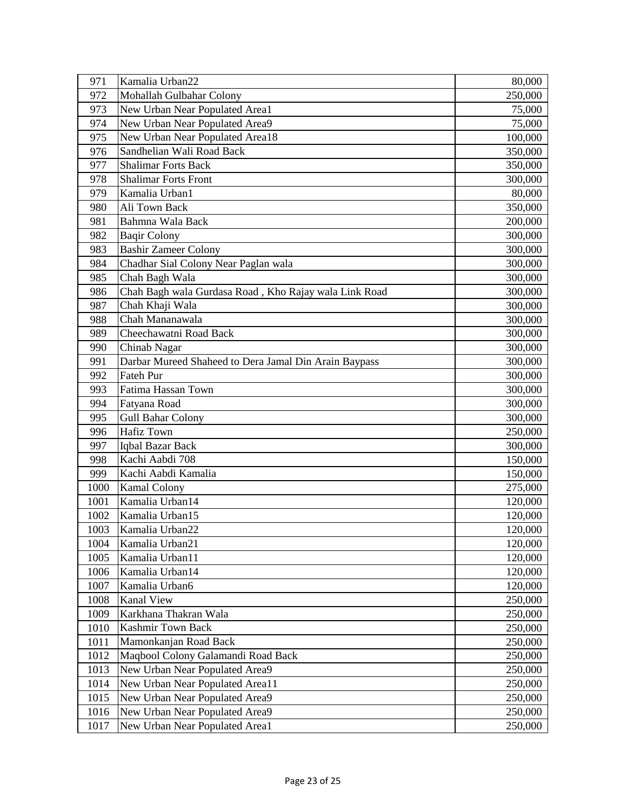| 971  | Kamalia Urban22                                       | 80,000  |
|------|-------------------------------------------------------|---------|
| 972  | Mohallah Gulbahar Colony                              | 250,000 |
| 973  | New Urban Near Populated Area1                        | 75,000  |
| 974  | New Urban Near Populated Area9                        | 75,000  |
| 975  | New Urban Near Populated Area18                       | 100,000 |
| 976  | Sandhelian Wali Road Back                             | 350,000 |
| 977  | <b>Shalimar Forts Back</b>                            | 350,000 |
| 978  | <b>Shalimar Forts Front</b>                           | 300,000 |
| 979  | Kamalia Urban1                                        | 80,000  |
| 980  | Ali Town Back                                         | 350,000 |
| 981  | Bahmna Wala Back                                      | 200,000 |
| 982  | <b>Baqir Colony</b>                                   | 300,000 |
| 983  | <b>Bashir Zameer Colony</b>                           | 300,000 |
| 984  | Chadhar Sial Colony Near Paglan wala                  | 300,000 |
| 985  | Chah Bagh Wala                                        | 300,000 |
| 986  | Chah Bagh wala Gurdasa Road, Kho Rajay wala Link Road | 300,000 |
| 987  | Chah Khaji Wala                                       | 300,000 |
| 988  | Chah Mananawala                                       | 300,000 |
| 989  | Cheechawatni Road Back                                | 300,000 |
| 990  | Chinab Nagar                                          | 300,000 |
| 991  | Darbar Mureed Shaheed to Dera Jamal Din Arain Baypass | 300,000 |
| 992  | Fateh Pur                                             | 300,000 |
| 993  | Fatima Hassan Town                                    | 300,000 |
| 994  | Fatyana Road                                          | 300,000 |
| 995  | <b>Gull Bahar Colony</b>                              | 300,000 |
| 996  | <b>Hafiz Town</b>                                     | 250,000 |
| 997  | Iqbal Bazar Back                                      | 300,000 |
| 998  | Kachi Aabdi 708                                       | 150,000 |
| 999  | Kachi Aabdi Kamalia                                   | 150,000 |
| 1000 | <b>Kamal Colony</b>                                   | 275,000 |
| 1001 | Kamalia Urban14                                       | 120,000 |
| 1002 | Kamalia Urban15                                       | 120,000 |
| 1003 | Kamalia Urban22                                       | 120,000 |
| 1004 | Kamalia Urban21                                       | 120,000 |
| 1005 | Kamalia Urban11                                       | 120,000 |
| 1006 | Kamalia Urban14                                       | 120,000 |
| 1007 | Kamalia Urban6                                        | 120,000 |
| 1008 | Kanal View                                            | 250,000 |
| 1009 | Karkhana Thakran Wala                                 | 250,000 |
| 1010 | <b>Kashmir Town Back</b>                              | 250,000 |
| 1011 | Mamonkanjan Road Back                                 | 250,000 |
| 1012 | Maqbool Colony Galamandi Road Back                    | 250,000 |
| 1013 | New Urban Near Populated Area9                        | 250,000 |
| 1014 | New Urban Near Populated Area11                       | 250,000 |
| 1015 | New Urban Near Populated Area9                        | 250,000 |
| 1016 | New Urban Near Populated Area9                        | 250,000 |
| 1017 | New Urban Near Populated Area1                        | 250,000 |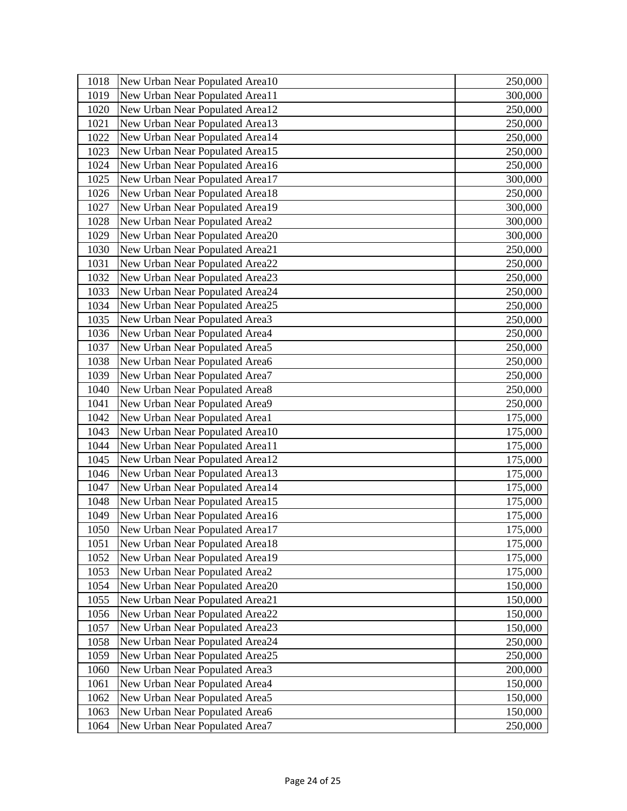| 1018 | New Urban Near Populated Area10 | 250,000 |
|------|---------------------------------|---------|
| 1019 | New Urban Near Populated Area11 | 300,000 |
| 1020 | New Urban Near Populated Area12 | 250,000 |
| 1021 | New Urban Near Populated Area13 | 250,000 |
| 1022 | New Urban Near Populated Area14 | 250,000 |
| 1023 | New Urban Near Populated Area15 | 250,000 |
| 1024 | New Urban Near Populated Area16 | 250,000 |
| 1025 | New Urban Near Populated Area17 | 300,000 |
| 1026 | New Urban Near Populated Area18 | 250,000 |
| 1027 | New Urban Near Populated Area19 | 300,000 |
| 1028 | New Urban Near Populated Area2  | 300,000 |
| 1029 | New Urban Near Populated Area20 | 300,000 |
| 1030 | New Urban Near Populated Area21 | 250,000 |
| 1031 | New Urban Near Populated Area22 | 250,000 |
| 1032 | New Urban Near Populated Area23 | 250,000 |
| 1033 | New Urban Near Populated Area24 | 250,000 |
| 1034 | New Urban Near Populated Area25 | 250,000 |
| 1035 | New Urban Near Populated Area3  | 250,000 |
| 1036 | New Urban Near Populated Area4  | 250,000 |
| 1037 | New Urban Near Populated Area5  | 250,000 |
| 1038 | New Urban Near Populated Area6  | 250,000 |
| 1039 | New Urban Near Populated Area7  | 250,000 |
| 1040 | New Urban Near Populated Area8  | 250,000 |
| 1041 | New Urban Near Populated Area9  | 250,000 |
| 1042 | New Urban Near Populated Area1  | 175,000 |
| 1043 | New Urban Near Populated Area10 | 175,000 |
| 1044 | New Urban Near Populated Area11 | 175,000 |
| 1045 | New Urban Near Populated Area12 | 175,000 |
| 1046 | New Urban Near Populated Area13 | 175,000 |
| 1047 | New Urban Near Populated Area14 | 175,000 |
| 1048 | New Urban Near Populated Area15 | 175,000 |
| 1049 | New Urban Near Populated Area16 | 175,000 |
| 1050 | New Urban Near Populated Area17 | 175,000 |
| 1051 | New Urban Near Populated Area18 | 175,000 |
| 1052 | New Urban Near Populated Area19 | 175,000 |
| 1053 | New Urban Near Populated Area2  | 175,000 |
| 1054 | New Urban Near Populated Area20 | 150,000 |
| 1055 | New Urban Near Populated Area21 | 150,000 |
| 1056 | New Urban Near Populated Area22 | 150,000 |
| 1057 | New Urban Near Populated Area23 | 150,000 |
| 1058 | New Urban Near Populated Area24 | 250,000 |
| 1059 | New Urban Near Populated Area25 | 250,000 |
| 1060 | New Urban Near Populated Area3  | 200,000 |
| 1061 | New Urban Near Populated Area4  | 150,000 |
| 1062 | New Urban Near Populated Area5  | 150,000 |
| 1063 | New Urban Near Populated Area6  | 150,000 |
| 1064 | New Urban Near Populated Area7  | 250,000 |